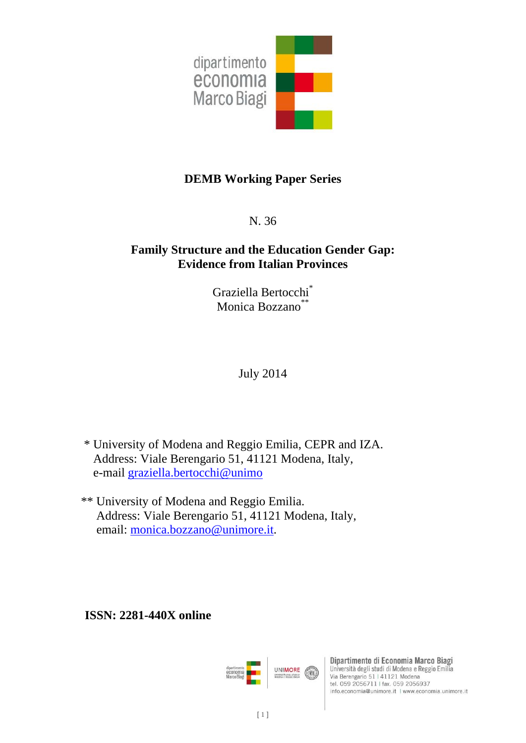

# **DEMB Working Paper Series**

N. 36

# **Family Structure and the Education Gender Gap: Evidence from Italian Provinces**

Graziella Bertocchi\* Monica Bozzano\*\*

July 2014

 \* University of Modena and Reggio Emilia, CEPR and IZA. Address: Viale Berengario 51, 41121 Modena, Italy, e-mail graziella.bertocchi@unimo

 \*\* University of Modena and Reggio Emilia. Address: Viale Berengario 51, 41121 Modena, Italy, email: monica.bozzano@unimore.it.

**ISSN: 2281-440X online** 



Dipartimento di Economia Marco Biagi Università degli studi di Modena e Reggio Emilia Via Berengario 51 | 41121 Modena tel. 059 2056711 | fax. 059 2056937 info.economia@unimore.it | www.economia.unimore.it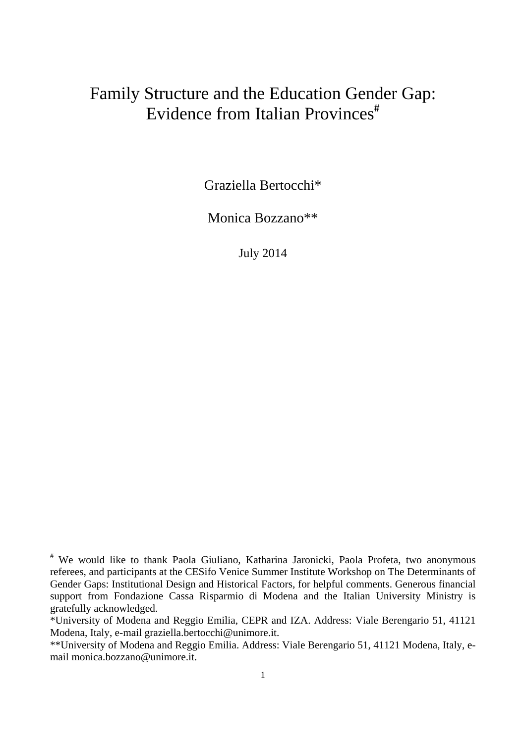# Family Structure and the Education Gender Gap: Evidence from Italian Provinces<sup>#</sup>

Graziella Bertocchi\*

Monica Bozzano\*\*

July 2014

<sup>#</sup> We would like to thank Paola Giuliano, Katharina Jaronicki, Paola Profeta, two anonymous referees, and participants at the CESifo Venice Summer Institute Workshop on The Determinants of Gender Gaps: Institutional Design and Historical Factors, for helpful comments. Generous financial support from Fondazione Cassa Risparmio di Modena and the Italian University Ministry is gratefully acknowledged.

<sup>\*</sup>University of Modena and Reggio Emilia, CEPR and IZA. Address: Viale Berengario 51, 41121 Modena, Italy, e-mail graziella.bertocchi@unimore.it.

<sup>\*\*</sup>University of Modena and Reggio Emilia. Address: Viale Berengario 51, 41121 Modena, Italy, email monica.bozzano@unimore.it.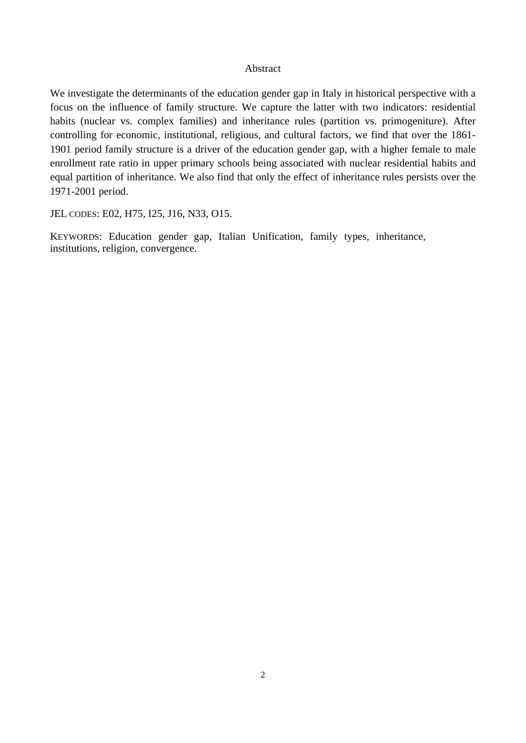#### Abstract

We investigate the determinants of the education gender gap in Italy in historical perspective with a focus on the influence of family structure. We capture the latter with two indicators: residential habits (nuclear vs. complex families) and inheritance rules (partition vs. primogeniture). After controlling for economic, institutional, religious, and cultural factors, we find that over the 1861- 1901 period family structure is a driver of the education gender gap, with a higher female to male enrollment rate ratio in upper primary schools being associated with nuclear residential habits and equal partition of inheritance. We also find that only the effect of inheritance rules persists over the 1971-2001 period.

JEL CODES: E02, H75, I25, J16, N33, O15.

KEYWORDS: Education gender gap, Italian Unification, family types, inheritance, institutions, religion, convergence.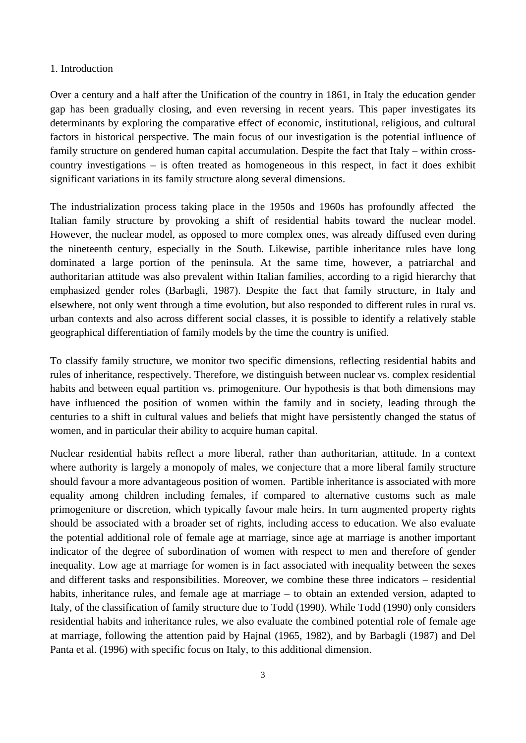#### 1. Introduction

Over a century and a half after the Unification of the country in 1861, in Italy the education gender gap has been gradually closing, and even reversing in recent years. This paper investigates its determinants by exploring the comparative effect of economic, institutional, religious, and cultural factors in historical perspective. The main focus of our investigation is the potential influence of family structure on gendered human capital accumulation. Despite the fact that Italy – within crosscountry investigations – is often treated as homogeneous in this respect, in fact it does exhibit significant variations in its family structure along several dimensions.

The industrialization process taking place in the 1950s and 1960s has profoundly affected the Italian family structure by provoking a shift of residential habits toward the nuclear model. However, the nuclear model, as opposed to more complex ones, was already diffused even during the nineteenth century, especially in the South. Likewise, partible inheritance rules have long dominated a large portion of the peninsula. At the same time, however, a patriarchal and authoritarian attitude was also prevalent within Italian families, according to a rigid hierarchy that emphasized gender roles (Barbagli, 1987). Despite the fact that family structure, in Italy and elsewhere, not only went through a time evolution, but also responded to different rules in rural vs. urban contexts and also across different social classes, it is possible to identify a relatively stable geographical differentiation of family models by the time the country is unified.

To classify family structure, we monitor two specific dimensions, reflecting residential habits and rules of inheritance, respectively. Therefore, we distinguish between nuclear vs. complex residential habits and between equal partition vs. primogeniture. Our hypothesis is that both dimensions may have influenced the position of women within the family and in society, leading through the centuries to a shift in cultural values and beliefs that might have persistently changed the status of women, and in particular their ability to acquire human capital.

Nuclear residential habits reflect a more liberal, rather than authoritarian, attitude. In a context where authority is largely a monopoly of males, we conjecture that a more liberal family structure should favour a more advantageous position of women. Partible inheritance is associated with more equality among children including females, if compared to alternative customs such as male primogeniture or discretion, which typically favour male heirs. In turn augmented property rights should be associated with a broader set of rights, including access to education. We also evaluate the potential additional role of female age at marriage, since age at marriage is another important indicator of the degree of subordination of women with respect to men and therefore of gender inequality. Low age at marriage for women is in fact associated with inequality between the sexes and different tasks and responsibilities. Moreover, we combine these three indicators – residential habits, inheritance rules, and female age at marriage – to obtain an extended version, adapted to Italy, of the classification of family structure due to Todd (1990). While Todd (1990) only considers residential habits and inheritance rules, we also evaluate the combined potential role of female age at marriage, following the attention paid by Hajnal (1965, 1982), and by Barbagli (1987) and Del Panta et al. (1996) with specific focus on Italy, to this additional dimension.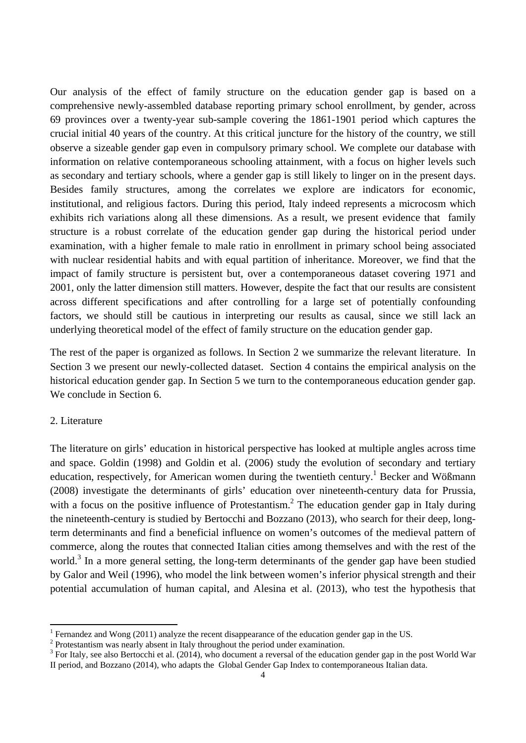Our analysis of the effect of family structure on the education gender gap is based on a comprehensive newly-assembled database reporting primary school enrollment, by gender, across 69 provinces over a twenty-year sub-sample covering the 1861-1901 period which captures the crucial initial 40 years of the country. At this critical juncture for the history of the country, we still observe a sizeable gender gap even in compulsory primary school. We complete our database with information on relative contemporaneous schooling attainment, with a focus on higher levels such as secondary and tertiary schools, where a gender gap is still likely to linger on in the present days. Besides family structures, among the correlates we explore are indicators for economic, institutional, and religious factors. During this period, Italy indeed represents a microcosm which exhibits rich variations along all these dimensions. As a result, we present evidence that family structure is a robust correlate of the education gender gap during the historical period under examination, with a higher female to male ratio in enrollment in primary school being associated with nuclear residential habits and with equal partition of inheritance. Moreover, we find that the impact of family structure is persistent but, over a contemporaneous dataset covering 1971 and 2001, only the latter dimension still matters. However, despite the fact that our results are consistent across different specifications and after controlling for a large set of potentially confounding factors, we should still be cautious in interpreting our results as causal, since we still lack an underlying theoretical model of the effect of family structure on the education gender gap.

The rest of the paper is organized as follows. In Section 2 we summarize the relevant literature. In Section 3 we present our newly-collected dataset. Section 4 contains the empirical analysis on the historical education gender gap. In Section 5 we turn to the contemporaneous education gender gap. We conclude in Section 6.

## 2. Literature

The literature on girls' education in historical perspective has looked at multiple angles across time and space. Goldin (1998) and Goldin et al. (2006) study the evolution of secondary and tertiary education, respectively, for American women during the twentieth century.<sup>1</sup> Becker and Wößmann (2008) investigate the determinants of girls' education over nineteenth-century data for Prussia, with a focus on the positive influence of Protestantism.<sup>2</sup> The education gender gap in Italy during the nineteenth-century is studied by Bertocchi and Bozzano (2013), who search for their deep, longterm determinants and find a beneficial influence on women's outcomes of the medieval pattern of commerce, along the routes that connected Italian cities among themselves and with the rest of the world.<sup>3</sup> In a more general setting, the long-term determinants of the gender gap have been studied by Galor and Weil (1996), who model the link between women's inferior physical strength and their potential accumulation of human capital, and Alesina et al. (2013), who test the hypothesis that

<sup>1</sup> Fernandez and Wong (2011) analyze the recent disappearance of the education gender gap in the US. 2

<sup>&</sup>lt;sup>2</sup> Protestantism was nearly absent in Italy throughout the period under examination.

 $3$  For Italy, see also Bertocchi et al. (2014), who document a reversal of the education gender gap in the post World War II period, and Bozzano (2014), who adapts the Global Gender Gap Index to contemporaneous Italian data.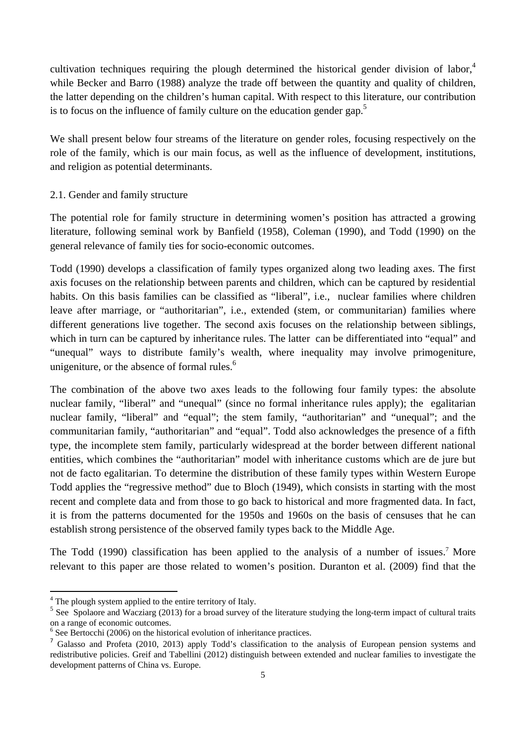cultivation techniques requiring the plough determined the historical gender division of labor,<sup>4</sup> while Becker and Barro (1988) analyze the trade off between the quantity and quality of children, the latter depending on the children's human capital. With respect to this literature, our contribution is to focus on the influence of family culture on the education gender gap.<sup>5</sup>

We shall present below four streams of the literature on gender roles, focusing respectively on the role of the family, which is our main focus, as well as the influence of development, institutions, and religion as potential determinants.

# 2.1. Gender and family structure

The potential role for family structure in determining women's position has attracted a growing literature, following seminal work by Banfield (1958), Coleman (1990), and Todd (1990) on the general relevance of family ties for socio-economic outcomes.

Todd (1990) develops a classification of family types organized along two leading axes. The first axis focuses on the relationship between parents and children, which can be captured by residential habits. On this basis families can be classified as "liberal", i.e., nuclear families where children leave after marriage, or "authoritarian", i.e., extended (stem, or communitarian) families where different generations live together. The second axis focuses on the relationship between siblings, which in turn can be captured by inheritance rules. The latter can be differentiated into "equal" and "unequal" ways to distribute family's wealth, where inequality may involve primogeniture, unigeniture, or the absence of formal rules. $<sup>6</sup>$ </sup>

The combination of the above two axes leads to the following four family types: the absolute nuclear family, "liberal" and "unequal" (since no formal inheritance rules apply); the egalitarian nuclear family, "liberal" and "equal"; the stem family, "authoritarian" and "unequal"; and the communitarian family, "authoritarian" and "equal". Todd also acknowledges the presence of a fifth type, the incomplete stem family, particularly widespread at the border between different national entities, which combines the "authoritarian" model with inheritance customs which are de jure but not de facto egalitarian. To determine the distribution of these family types within Western Europe Todd applies the "regressive method" due to Bloch (1949), which consists in starting with the most recent and complete data and from those to go back to historical and more fragmented data. In fact, it is from the patterns documented for the 1950s and 1960s on the basis of censuses that he can establish strong persistence of the observed family types back to the Middle Age.

The Todd (1990) classification has been applied to the analysis of a number of issues.<sup>7</sup> More relevant to this paper are those related to women's position. Duranton et al. (2009) find that the

<sup>&</sup>lt;sup>4</sup> The plough system applied to the entire territory of Italy.

<sup>&</sup>lt;sup>5</sup> See Spolaore and Wacziarg (2013) for a broad survey of the literature studying the long-term impact of cultural traits on a range of economic outcomes.

<sup>&</sup>lt;sup>6</sup> See Bertocchi (2006) on the historical evolution of inheritance practices.

<sup>7</sup> Galasso and Profeta (2010, 2013) apply Todd's classification to the analysis of European pension systems and redistributive policies. Greif and Tabellini (2012) distinguish between extended and nuclear families to investigate the development patterns of China vs. Europe.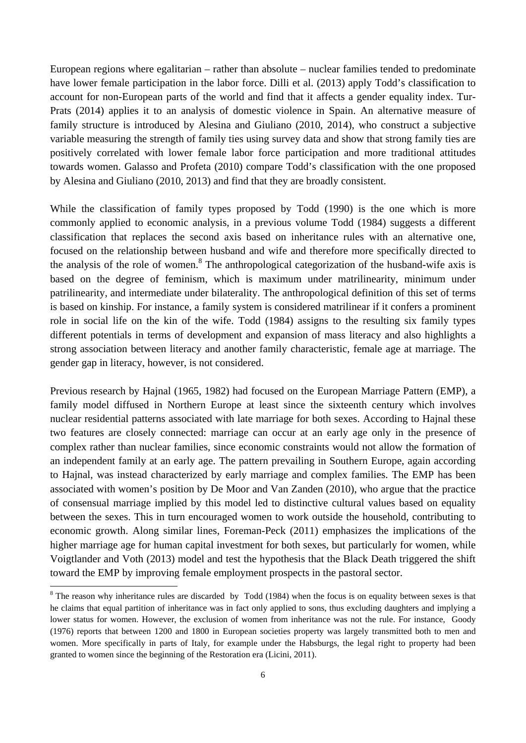European regions where egalitarian – rather than absolute – nuclear families tended to predominate have lower female participation in the labor force. Dilli et al. (2013) apply Todd's classification to account for non-European parts of the world and find that it affects a gender equality index. Tur-Prats (2014) applies it to an analysis of domestic violence in Spain. An alternative measure of family structure is introduced by Alesina and Giuliano (2010, 2014), who construct a subjective variable measuring the strength of family ties using survey data and show that strong family ties are positively correlated with lower female labor force participation and more traditional attitudes towards women. Galasso and Profeta (2010) compare Todd's classification with the one proposed by Alesina and Giuliano (2010, 2013) and find that they are broadly consistent.

While the classification of family types proposed by Todd (1990) is the one which is more commonly applied to economic analysis, in a previous volume Todd (1984) suggests a different classification that replaces the second axis based on inheritance rules with an alternative one, focused on the relationship between husband and wife and therefore more specifically directed to the analysis of the role of women.<sup>8</sup> The anthropological categorization of the husband-wife axis is based on the degree of feminism, which is maximum under matrilinearity, minimum under patrilinearity, and intermediate under bilaterality. The anthropological definition of this set of terms is based on kinship. For instance, a family system is considered matrilinear if it confers a prominent role in social life on the kin of the wife. Todd (1984) assigns to the resulting six family types different potentials in terms of development and expansion of mass literacy and also highlights a strong association between literacy and another family characteristic, female age at marriage. The gender gap in literacy, however, is not considered.

Previous research by Hajnal (1965, 1982) had focused on the European Marriage Pattern (EMP), a family model diffused in Northern Europe at least since the sixteenth century which involves nuclear residential patterns associated with late marriage for both sexes. According to Hajnal these two features are closely connected: marriage can occur at an early age only in the presence of complex rather than nuclear families, since economic constraints would not allow the formation of an independent family at an early age. The pattern prevailing in Southern Europe, again according to Hajnal, was instead characterized by early marriage and complex families. The EMP has been associated with women's position by De Moor and Van Zanden (2010), who argue that the practice of consensual marriage implied by this model led to distinctive cultural values based on equality between the sexes. This in turn encouraged women to work outside the household, contributing to economic growth. Along similar lines, Foreman-Peck (2011) emphasizes the implications of the higher marriage age for human capital investment for both sexes, but particularly for women, while Voigtlander and Voth (2013) model and test the hypothesis that the Black Death triggered the shift toward the EMP by improving female employment prospects in the pastoral sector.

 $8$  The reason why inheritance rules are discarded by Todd (1984) when the focus is on equality between sexes is that he claims that equal partition of inheritance was in fact only applied to sons, thus excluding daughters and implying a lower status for women. However, the exclusion of women from inheritance was not the rule. For instance, Goody (1976) reports that between 1200 and 1800 in European societies property was largely transmitted both to men and women. More specifically in parts of Italy, for example under the Habsburgs, the legal right to property had been granted to women since the beginning of the Restoration era (Licini, 2011).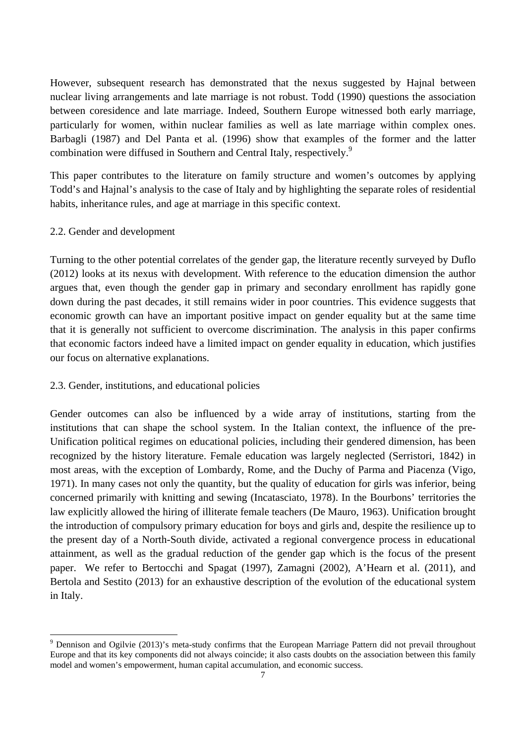However, subsequent research has demonstrated that the nexus suggested by Hajnal between nuclear living arrangements and late marriage is not robust. Todd (1990) questions the association between coresidence and late marriage. Indeed, Southern Europe witnessed both early marriage, particularly for women, within nuclear families as well as late marriage within complex ones. Barbagli (1987) and Del Panta et al. (1996) show that examples of the former and the latter combination were diffused in Southern and Central Italy, respectively.<sup>9</sup>

This paper contributes to the literature on family structure and women's outcomes by applying Todd's and Hajnal's analysis to the case of Italy and by highlighting the separate roles of residential habits, inheritance rules, and age at marriage in this specific context.

# 2.2. Gender and development

Turning to the other potential correlates of the gender gap, the literature recently surveyed by Duflo (2012) looks at its nexus with development. With reference to the education dimension the author argues that, even though the gender gap in primary and secondary enrollment has rapidly gone down during the past decades, it still remains wider in poor countries. This evidence suggests that economic growth can have an important positive impact on gender equality but at the same time that it is generally not sufficient to overcome discrimination. The analysis in this paper confirms that economic factors indeed have a limited impact on gender equality in education, which justifies our focus on alternative explanations.

#### 2.3. Gender, institutions, and educational policies

Gender outcomes can also be influenced by a wide array of institutions, starting from the institutions that can shape the school system. In the Italian context, the influence of the pre-Unification political regimes on educational policies, including their gendered dimension, has been recognized by the history literature. Female education was largely neglected (Serristori, 1842) in most areas, with the exception of Lombardy, Rome, and the Duchy of Parma and Piacenza (Vigo, 1971). In many cases not only the quantity, but the quality of education for girls was inferior, being concerned primarily with knitting and sewing (Incatasciato, 1978). In the Bourbons' territories the law explicitly allowed the hiring of illiterate female teachers (De Mauro, 1963). Unification brought the introduction of compulsory primary education for boys and girls and, despite the resilience up to the present day of a North-South divide, activated a regional convergence process in educational attainment, as well as the gradual reduction of the gender gap which is the focus of the present paper. We refer to Bertocchi and Spagat (1997), Zamagni (2002), A'Hearn et al. (2011), and Bertola and Sestito (2013) for an exhaustive description of the evolution of the educational system in Italy.

<sup>&</sup>lt;sup>9</sup> Dennison and Ogilvie (2013)'s meta-study confirms that the European Marriage Pattern did not prevail throughout Europe and that its key components did not always coincide; it also casts doubts on the association between this family model and women's empowerment, human capital accumulation, and economic success.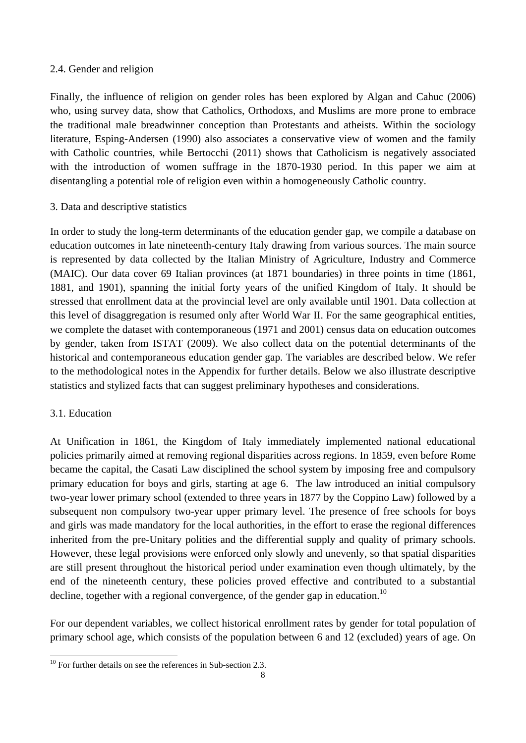# 2.4. Gender and religion

Finally, the influence of religion on gender roles has been explored by Algan and Cahuc (2006) who, using survey data, show that Catholics, Orthodoxs, and Muslims are more prone to embrace the traditional male breadwinner conception than Protestants and atheists. Within the sociology literature, Esping-Andersen (1990) also associates a conservative view of women and the family with Catholic countries, while Bertocchi (2011) shows that Catholicism is negatively associated with the introduction of women suffrage in the 1870-1930 period. In this paper we aim at disentangling a potential role of religion even within a homogeneously Catholic country.

# 3. Data and descriptive statistics

In order to study the long-term determinants of the education gender gap, we compile a database on education outcomes in late nineteenth-century Italy drawing from various sources. The main source is represented by data collected by the Italian Ministry of Agriculture, Industry and Commerce (MAIC). Our data cover 69 Italian provinces (at 1871 boundaries) in three points in time (1861, 1881, and 1901), spanning the initial forty years of the unified Kingdom of Italy. It should be stressed that enrollment data at the provincial level are only available until 1901. Data collection at this level of disaggregation is resumed only after World War II. For the same geographical entities, we complete the dataset with contemporaneous (1971 and 2001) census data on education outcomes by gender, taken from ISTAT (2009). We also collect data on the potential determinants of the historical and contemporaneous education gender gap. The variables are described below. We refer to the methodological notes in the Appendix for further details. Below we also illustrate descriptive statistics and stylized facts that can suggest preliminary hypotheses and considerations.

# 3.1. Education

At Unification in 1861, the Kingdom of Italy immediately implemented national educational policies primarily aimed at removing regional disparities across regions. In 1859, even before Rome became the capital, the Casati Law disciplined the school system by imposing free and compulsory primary education for boys and girls, starting at age 6. The law introduced an initial compulsory two-year lower primary school (extended to three years in 1877 by the Coppino Law) followed by a subsequent non compulsory two-year upper primary level. The presence of free schools for boys and girls was made mandatory for the local authorities, in the effort to erase the regional differences inherited from the pre-Unitary polities and the differential supply and quality of primary schools. However, these legal provisions were enforced only slowly and unevenly, so that spatial disparities are still present throughout the historical period under examination even though ultimately, by the end of the nineteenth century, these policies proved effective and contributed to a substantial decline, together with a regional convergence, of the gender gap in education.<sup>10</sup>

For our dependent variables, we collect historical enrollment rates by gender for total population of primary school age, which consists of the population between 6 and 12 (excluded) years of age. On

  $10$  For further details on see the references in Sub-section 2.3.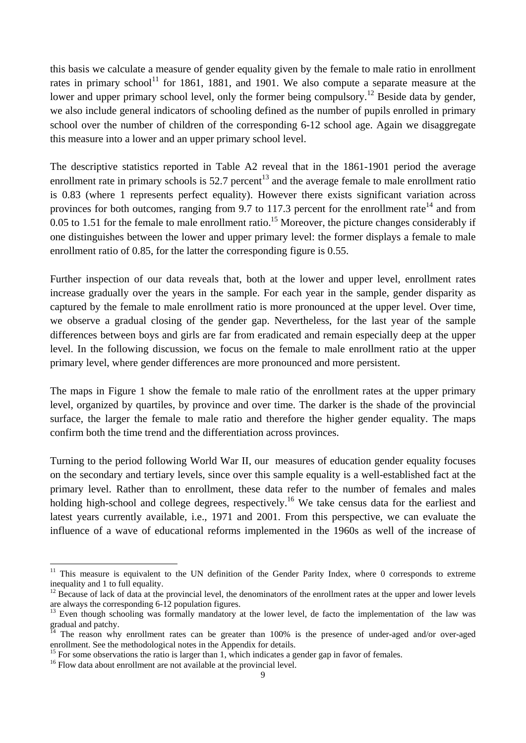this basis we calculate a measure of gender equality given by the female to male ratio in enrollment rates in primary school<sup>11</sup> for 1861, 1881, and 1901. We also compute a separate measure at the lower and upper primary school level, only the former being compulsory.<sup>12</sup> Beside data by gender, we also include general indicators of schooling defined as the number of pupils enrolled in primary school over the number of children of the corresponding 6-12 school age. Again we disaggregate this measure into a lower and an upper primary school level.

The descriptive statistics reported in Table A2 reveal that in the 1861-1901 period the average enrollment rate in primary schools is  $52.7$  percent<sup>13</sup> and the average female to male enrollment ratio is 0.83 (where 1 represents perfect equality). However there exists significant variation across provinces for both outcomes, ranging from 9.7 to 117.3 percent for the enrollment rate<sup>14</sup> and from 0.05 to 1.51 for the female to male enrollment ratio.<sup>15</sup> Moreover, the picture changes considerably if one distinguishes between the lower and upper primary level: the former displays a female to male enrollment ratio of 0.85, for the latter the corresponding figure is 0.55.

Further inspection of our data reveals that, both at the lower and upper level, enrollment rates increase gradually over the years in the sample. For each year in the sample, gender disparity as captured by the female to male enrollment ratio is more pronounced at the upper level. Over time, we observe a gradual closing of the gender gap. Nevertheless, for the last year of the sample differences between boys and girls are far from eradicated and remain especially deep at the upper level. In the following discussion, we focus on the female to male enrollment ratio at the upper primary level, where gender differences are more pronounced and more persistent.

The maps in Figure 1 show the female to male ratio of the enrollment rates at the upper primary level, organized by quartiles, by province and over time. The darker is the shade of the provincial surface, the larger the female to male ratio and therefore the higher gender equality. The maps confirm both the time trend and the differentiation across provinces.

Turning to the period following World War II, our measures of education gender equality focuses on the secondary and tertiary levels, since over this sample equality is a well-established fact at the primary level. Rather than to enrollment, these data refer to the number of females and males holding high-school and college degrees, respectively.<sup>16</sup> We take census data for the earliest and latest years currently available, i.e., 1971 and 2001. From this perspective, we can evaluate the influence of a wave of educational reforms implemented in the 1960s as well of the increase of

<sup>&</sup>lt;sup>11</sup> This measure is equivalent to the UN definition of the Gender Parity Index, where 0 corresponds to extreme inequality and 1 to full equality.

 $12$  Because of lack of data at the provincial level, the denominators of the enrollment rates at the upper and lower levels are always the corresponding 6-12 population figures.<br><sup>13</sup> Even though schooling was formally mandatory at the lower level, de facto the implementation of the law was

 $\frac{1}{2}$ gradual and patchy.

The reason why enrollment rates can be greater than 100% is the presence of under-aged and/or over-aged enrollment. See the methodological notes in the Appendix for details.

<sup>&</sup>lt;sup>15</sup> For some observations the ratio is larger than 1, which indicates a gender gap in favor of females.

<sup>&</sup>lt;sup>16</sup> Flow data about enrollment are not available at the provincial level.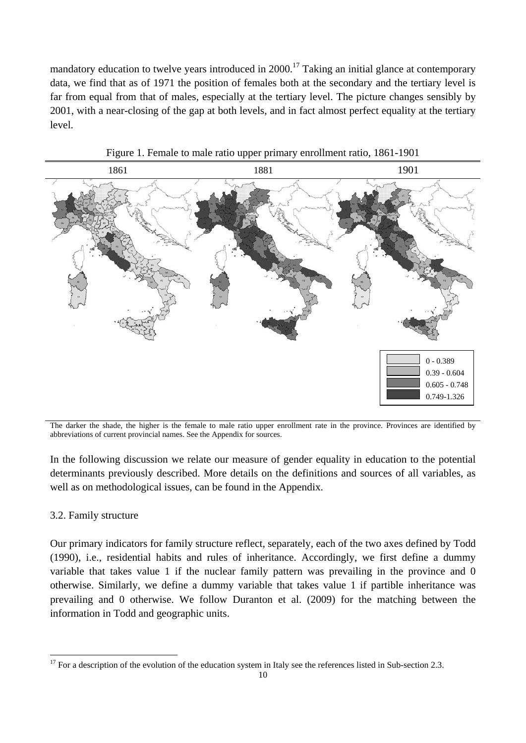mandatory education to twelve years introduced in  $2000$ .<sup>17</sup> Taking an initial glance at contemporary data, we find that as of 1971 the position of females both at the secondary and the tertiary level is far from equal from that of males, especially at the tertiary level. The picture changes sensibly by 2001, with a near-closing of the gap at both levels, and in fact almost perfect equality at the tertiary level.



Figure 1. Female to male ratio upper primary enrollment ratio, 1861-1901

The darker the shade, the higher is the female to male ratio upper enrollment rate in the province. Provinces are identified by abbreviations of current provincial names. See the Appendix for sources.

In the following discussion we relate our measure of gender equality in education to the potential determinants previously described. More details on the definitions and sources of all variables, as well as on methodological issues, can be found in the Appendix.

#### 3.2. Family structure

Our primary indicators for family structure reflect, separately, each of the two axes defined by Todd (1990), i.e., residential habits and rules of inheritance. Accordingly, we first define a dummy variable that takes value 1 if the nuclear family pattern was prevailing in the province and 0 otherwise. Similarly, we define a dummy variable that takes value 1 if partible inheritance was prevailing and 0 otherwise. We follow Duranton et al. (2009) for the matching between the information in Todd and geographic units.

 $17$  For a description of the evolution of the education system in Italy see the references listed in Sub-section 2.3.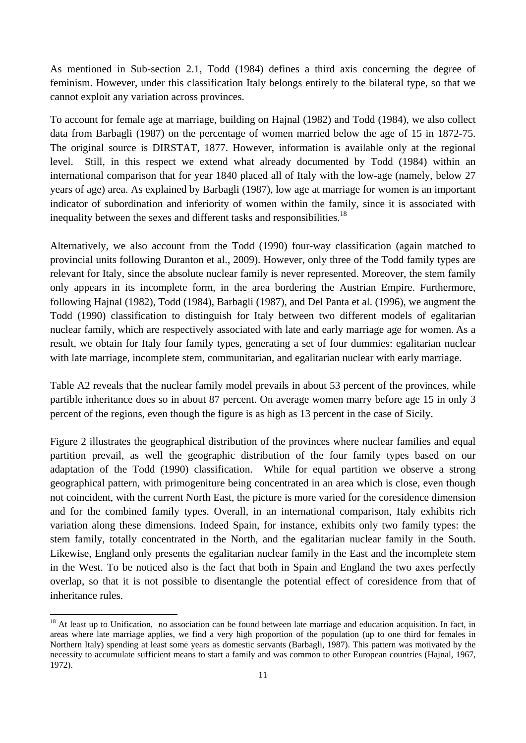As mentioned in Sub-section 2.1, Todd (1984) defines a third axis concerning the degree of feminism. However, under this classification Italy belongs entirely to the bilateral type, so that we cannot exploit any variation across provinces.

To account for female age at marriage, building on Hajnal (1982) and Todd (1984), we also collect data from Barbagli (1987) on the percentage of women married below the age of 15 in 1872-75. The original source is DIRSTAT, 1877. However, information is available only at the regional level. Still, in this respect we extend what already documented by Todd (1984) within an international comparison that for year 1840 placed all of Italy with the low-age (namely, below 27 years of age) area. As explained by Barbagli (1987), low age at marriage for women is an important indicator of subordination and inferiority of women within the family, since it is associated with inequality between the sexes and different tasks and responsibilities.<sup>18</sup>

Alternatively, we also account from the Todd (1990) four-way classification (again matched to provincial units following Duranton et al., 2009). However, only three of the Todd family types are relevant for Italy, since the absolute nuclear family is never represented. Moreover, the stem family only appears in its incomplete form, in the area bordering the Austrian Empire. Furthermore, following Hajnal (1982), Todd (1984), Barbagli (1987), and Del Panta et al. (1996), we augment the Todd (1990) classification to distinguish for Italy between two different models of egalitarian nuclear family, which are respectively associated with late and early marriage age for women. As a result, we obtain for Italy four family types, generating a set of four dummies: egalitarian nuclear with late marriage, incomplete stem, communitarian, and egalitarian nuclear with early marriage.

Table A2 reveals that the nuclear family model prevails in about 53 percent of the provinces, while partible inheritance does so in about 87 percent. On average women marry before age 15 in only 3 percent of the regions, even though the figure is as high as 13 percent in the case of Sicily.

Figure 2 illustrates the geographical distribution of the provinces where nuclear families and equal partition prevail, as well the geographic distribution of the four family types based on our adaptation of the Todd (1990) classification. While for equal partition we observe a strong geographical pattern, with primogeniture being concentrated in an area which is close, even though not coincident, with the current North East, the picture is more varied for the coresidence dimension and for the combined family types. Overall, in an international comparison, Italy exhibits rich variation along these dimensions. Indeed Spain, for instance, exhibits only two family types: the stem family, totally concentrated in the North, and the egalitarian nuclear family in the South. Likewise, England only presents the egalitarian nuclear family in the East and the incomplete stem in the West. To be noticed also is the fact that both in Spain and England the two axes perfectly overlap, so that it is not possible to disentangle the potential effect of coresidence from that of inheritance rules.

 $18$  At least up to Unification, no association can be found between late marriage and education acquisition. In fact, in areas where late marriage applies, we find a very high proportion of the population (up to one third for females in Northern Italy) spending at least some years as domestic servants (Barbagli, 1987). This pattern was motivated by the necessity to accumulate sufficient means to start a family and was common to other European countries (Hajnal, 1967, 1972).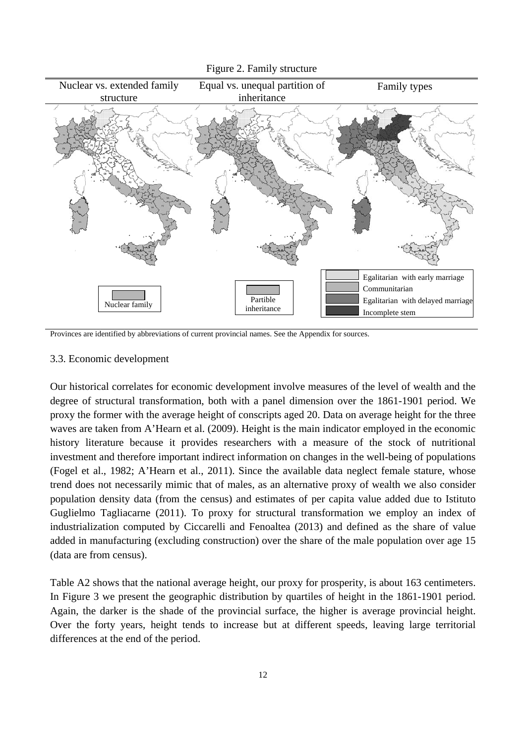

Figure 2. Family structure

Provinces are identified by abbreviations of current provincial names. See the Appendix for sources.

#### 3.3. Economic development

Our historical correlates for economic development involve measures of the level of wealth and the degree of structural transformation, both with a panel dimension over the 1861-1901 period. We proxy the former with the average height of conscripts aged 20. Data on average height for the three waves are taken from A'Hearn et al. (2009). Height is the main indicator employed in the economic history literature because it provides researchers with a measure of the stock of nutritional investment and therefore important indirect information on changes in the well-being of populations (Fogel et al., 1982; A'Hearn et al., 2011). Since the available data neglect female stature, whose trend does not necessarily mimic that of males, as an alternative proxy of wealth we also consider population density data (from the census) and estimates of per capita value added due to Istituto Guglielmo Tagliacarne (2011). To proxy for structural transformation we employ an index of industrialization computed by Ciccarelli and Fenoaltea (2013) and defined as the share of value added in manufacturing (excluding construction) over the share of the male population over age 15 (data are from census).

Table A2 shows that the national average height, our proxy for prosperity, is about 163 centimeters. In Figure 3 we present the geographic distribution by quartiles of height in the 1861-1901 period. Again, the darker is the shade of the provincial surface, the higher is average provincial height. Over the forty years, height tends to increase but at different speeds, leaving large territorial differences at the end of the period.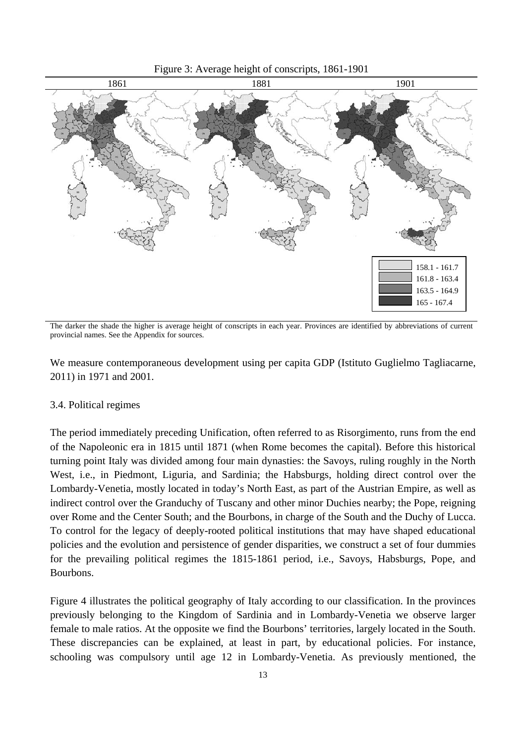



The darker the shade the higher is average height of conscripts in each year. Provinces are identified by abbreviations of current provincial names. See the Appendix for sources.

We measure contemporaneous development using per capita GDP (Istituto Guglielmo Tagliacarne, 2011) in 1971 and 2001.

#### 3.4. Political regimes

The period immediately preceding Unification, often referred to as Risorgimento, runs from the end of the Napoleonic era in 1815 until 1871 (when Rome becomes the capital). Before this historical turning point Italy was divided among four main dynasties: the Savoys, ruling roughly in the North West, i.e., in Piedmont, Liguria, and Sardinia; the Habsburgs, holding direct control over the Lombardy-Venetia, mostly located in today's North East, as part of the Austrian Empire, as well as indirect control over the Granduchy of Tuscany and other minor Duchies nearby; the Pope, reigning over Rome and the Center South; and the Bourbons, in charge of the South and the Duchy of Lucca. To control for the legacy of deeply-rooted political institutions that may have shaped educational policies and the evolution and persistence of gender disparities, we construct a set of four dummies for the prevailing political regimes the 1815-1861 period, i.e., Savoys, Habsburgs, Pope, and Bourbons.

Figure 4 illustrates the political geography of Italy according to our classification. In the provinces previously belonging to the Kingdom of Sardinia and in Lombardy-Venetia we observe larger female to male ratios. At the opposite we find the Bourbons' territories, largely located in the South. These discrepancies can be explained, at least in part, by educational policies. For instance, schooling was compulsory until age 12 in Lombardy-Venetia. As previously mentioned, the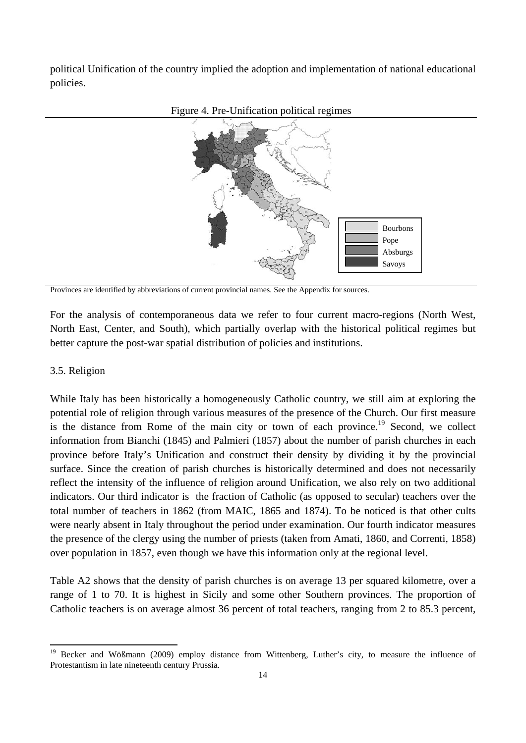political Unification of the country implied the adoption and implementation of national educational policies.





Provinces are identified by abbreviations of current provincial names. See the Appendix for sources.

For the analysis of contemporaneous data we refer to four current macro-regions (North West, North East, Center, and South), which partially overlap with the historical political regimes but better capture the post-war spatial distribution of policies and institutions.

#### 3.5. Religion

While Italy has been historically a homogeneously Catholic country, we still aim at exploring the potential role of religion through various measures of the presence of the Church. Our first measure is the distance from Rome of the main city or town of each province.<sup>19</sup> Second, we collect information from Bianchi (1845) and Palmieri (1857) about the number of parish churches in each province before Italy's Unification and construct their density by dividing it by the provincial surface. Since the creation of parish churches is historically determined and does not necessarily reflect the intensity of the influence of religion around Unification, we also rely on two additional indicators. Our third indicator is the fraction of Catholic (as opposed to secular) teachers over the total number of teachers in 1862 (from MAIC, 1865 and 1874). To be noticed is that other cults were nearly absent in Italy throughout the period under examination. Our fourth indicator measures the presence of the clergy using the number of priests (taken from Amati, 1860, and Correnti, 1858) over population in 1857, even though we have this information only at the regional level.

Table A2 shows that the density of parish churches is on average 13 per squared kilometre, over a range of 1 to 70. It is highest in Sicily and some other Southern provinces. The proportion of Catholic teachers is on average almost 36 percent of total teachers, ranging from 2 to 85.3 percent,

<sup>&</sup>lt;sup>19</sup> Becker and Wößmann (2009) employ distance from Wittenberg, Luther's city, to measure the influence of Protestantism in late nineteenth century Prussia.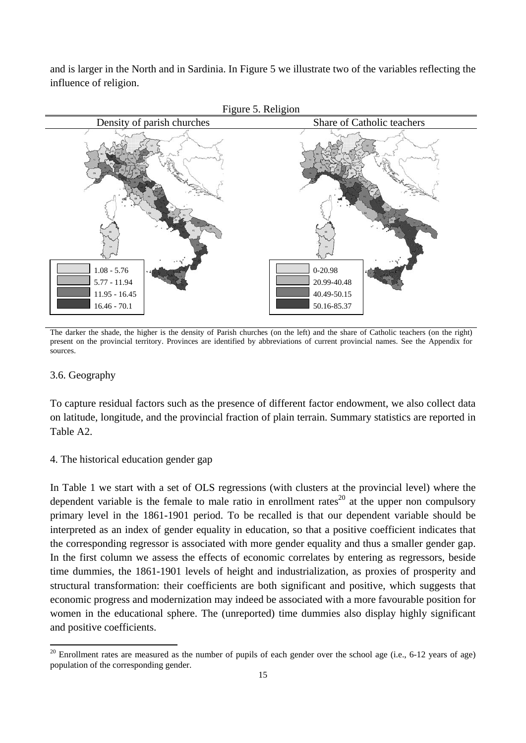and is larger in the North and in Sardinia. In Figure 5 we illustrate two of the variables reflecting the influence of religion.



The darker the shade, the higher is the density of Parish churches (on the left) and the share of Catholic teachers (on the right) present on the provincial territory. Provinces are identified by abbreviations of current provincial names. See the Appendix for sources.

# 3.6. Geography

To capture residual factors such as the presence of different factor endowment, we also collect data on latitude, longitude, and the provincial fraction of plain terrain. Summary statistics are reported in Table A2.

# 4. The historical education gender gap

In Table 1 we start with a set of OLS regressions (with clusters at the provincial level) where the dependent variable is the female to male ratio in enrollment rates<sup>20</sup> at the upper non compulsory primary level in the 1861-1901 period. To be recalled is that our dependent variable should be interpreted as an index of gender equality in education, so that a positive coefficient indicates that the corresponding regressor is associated with more gender equality and thus a smaller gender gap. In the first column we assess the effects of economic correlates by entering as regressors, beside time dummies, the 1861-1901 levels of height and industrialization, as proxies of prosperity and structural transformation: their coefficients are both significant and positive, which suggests that economic progress and modernization may indeed be associated with a more favourable position for women in the educational sphere. The (unreported) time dummies also display highly significant and positive coefficients.

 $20$  Enrollment rates are measured as the number of pupils of each gender over the school age (i.e., 6-12 years of age) population of the corresponding gender.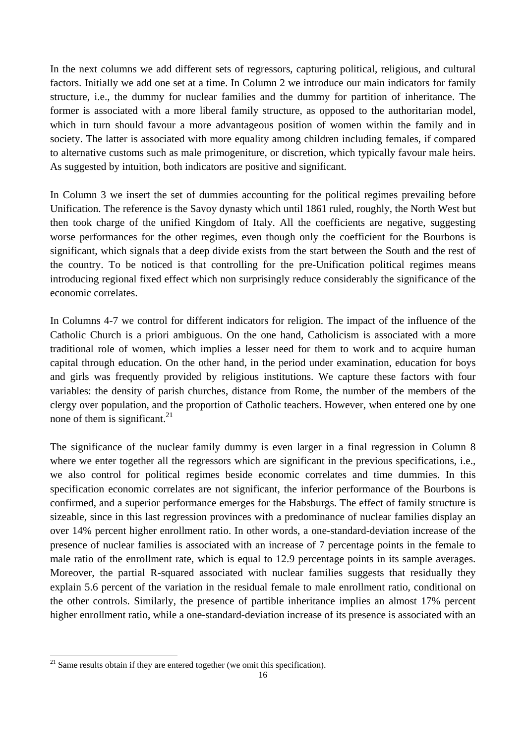In the next columns we add different sets of regressors, capturing political, religious, and cultural factors. Initially we add one set at a time. In Column 2 we introduce our main indicators for family structure, i.e., the dummy for nuclear families and the dummy for partition of inheritance. The former is associated with a more liberal family structure, as opposed to the authoritarian model, which in turn should favour a more advantageous position of women within the family and in society. The latter is associated with more equality among children including females, if compared to alternative customs such as male primogeniture, or discretion, which typically favour male heirs. As suggested by intuition, both indicators are positive and significant.

In Column 3 we insert the set of dummies accounting for the political regimes prevailing before Unification. The reference is the Savoy dynasty which until 1861 ruled, roughly, the North West but then took charge of the unified Kingdom of Italy. All the coefficients are negative, suggesting worse performances for the other regimes, even though only the coefficient for the Bourbons is significant, which signals that a deep divide exists from the start between the South and the rest of the country. To be noticed is that controlling for the pre-Unification political regimes means introducing regional fixed effect which non surprisingly reduce considerably the significance of the economic correlates.

In Columns 4-7 we control for different indicators for religion. The impact of the influence of the Catholic Church is a priori ambiguous. On the one hand, Catholicism is associated with a more traditional role of women, which implies a lesser need for them to work and to acquire human capital through education. On the other hand, in the period under examination, education for boys and girls was frequently provided by religious institutions. We capture these factors with four variables: the density of parish churches, distance from Rome, the number of the members of the clergy over population, and the proportion of Catholic teachers. However, when entered one by one none of them is significant. $^{21}$ 

The significance of the nuclear family dummy is even larger in a final regression in Column 8 where we enter together all the regressors which are significant in the previous specifications, i.e., we also control for political regimes beside economic correlates and time dummies. In this specification economic correlates are not significant, the inferior performance of the Bourbons is confirmed, and a superior performance emerges for the Habsburgs. The effect of family structure is sizeable, since in this last regression provinces with a predominance of nuclear families display an over 14% percent higher enrollment ratio. In other words, a one-standard-deviation increase of the presence of nuclear families is associated with an increase of 7 percentage points in the female to male ratio of the enrollment rate, which is equal to 12.9 percentage points in its sample averages. Moreover, the partial R-squared associated with nuclear families suggests that residually they explain 5.6 percent of the variation in the residual female to male enrollment ratio, conditional on the other controls. Similarly, the presence of partible inheritance implies an almost 17% percent higher enrollment ratio, while a one-standard-deviation increase of its presence is associated with an

 $21$  Same results obtain if they are entered together (we omit this specification).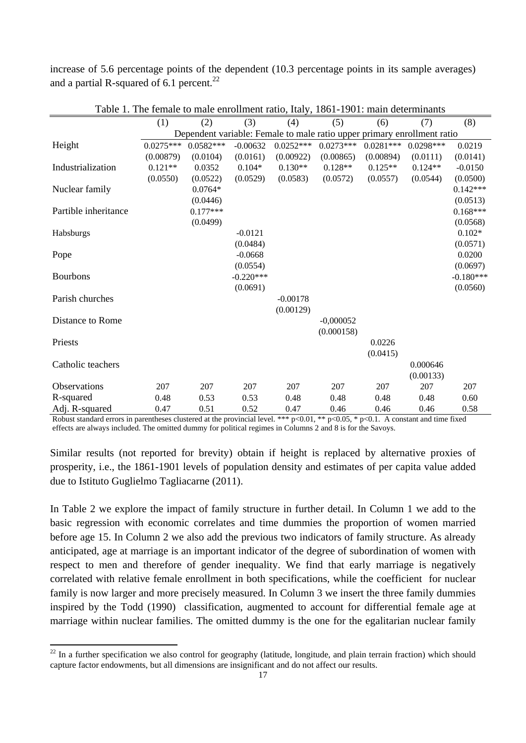increase of 5.6 percentage points of the dependent (10.3 percentage points in its sample averages) and a partial R-squared of 6.1 percent.<sup>22</sup>

|                      | (1)                                                                     | (2)         | (3)         | (4)         | (5)         | (6)         | (7)         | (8)         |
|----------------------|-------------------------------------------------------------------------|-------------|-------------|-------------|-------------|-------------|-------------|-------------|
|                      | Dependent variable: Female to male ratio upper primary enrollment ratio |             |             |             |             |             |             |             |
| Height               | $0.0275***$                                                             | $0.0582***$ | $-0.00632$  | $0.0252***$ | $0.0273***$ | $0.0281***$ | $0.0298***$ | 0.0219      |
|                      | (0.00879)                                                               | (0.0104)    | (0.0161)    | (0.00922)   | (0.00865)   | (0.00894)   | (0.0111)    | (0.0141)    |
| Industrialization    | $0.121**$                                                               | 0.0352      | $0.104*$    | $0.130**$   | $0.128**$   | $0.125**$   | $0.124**$   | $-0.0150$   |
|                      | (0.0550)                                                                | (0.0522)    | (0.0529)    | (0.0583)    | (0.0572)    | (0.0557)    | (0.0544)    | (0.0500)    |
| Nuclear family       |                                                                         | $0.0764*$   |             |             |             |             |             | $0.142***$  |
|                      |                                                                         | (0.0446)    |             |             |             |             |             | (0.0513)    |
| Partible inheritance |                                                                         | $0.177***$  |             |             |             |             |             | $0.168***$  |
|                      |                                                                         | (0.0499)    |             |             |             |             |             | (0.0568)    |
| Habsburgs            |                                                                         |             | $-0.0121$   |             |             |             |             | $0.102*$    |
|                      |                                                                         |             | (0.0484)    |             |             |             |             | (0.0571)    |
| Pope                 |                                                                         |             | $-0.0668$   |             |             |             |             | 0.0200      |
|                      |                                                                         |             | (0.0554)    |             |             |             |             | (0.0697)    |
| <b>Bourbons</b>      |                                                                         |             | $-0.220***$ |             |             |             |             | $-0.180***$ |
|                      |                                                                         |             | (0.0691)    |             |             |             |             | (0.0560)    |
| Parish churches      |                                                                         |             |             | $-0.00178$  |             |             |             |             |
|                      |                                                                         |             |             | (0.00129)   |             |             |             |             |
| Distance to Rome     |                                                                         |             |             |             | $-0,000052$ |             |             |             |
|                      |                                                                         |             |             |             | (0.000158)  |             |             |             |
| Priests              |                                                                         |             |             |             |             | 0.0226      |             |             |
|                      |                                                                         |             |             |             |             | (0.0415)    |             |             |
| Catholic teachers    |                                                                         |             |             |             |             |             | 0.000646    |             |
|                      |                                                                         |             |             |             |             |             | (0.00133)   |             |
| <b>Observations</b>  | 207                                                                     | 207         | 207         | 207         | 207         | 207         | 207         | 207         |
| R-squared            | 0.48                                                                    | 0.53        | 0.53        | 0.48        | 0.48        | 0.48        | 0.48        | 0.60        |
| Adj. R-squared       | 0.47                                                                    | 0.51        | 0.52        | 0.47        | 0.46        | 0.46        | 0.46        | 0.58        |

Table 1. The female to male enrollment ratio, Italy, 1861-1901: main determinants

Robust standard errors in parentheses clustered at the provincial level. \*\*\*  $p<0.01$ , \*\*  $p<0.05$ , \*  $p<0.1$ . A constant and time fixed effects are always included. The omitted dummy for political regimes in Columns 2 and 8 is for the Savoys.

Similar results (not reported for brevity) obtain if height is replaced by alternative proxies of prosperity, i.e., the 1861-1901 levels of population density and estimates of per capita value added due to Istituto Guglielmo Tagliacarne (2011).

In Table 2 we explore the impact of family structure in further detail. In Column 1 we add to the basic regression with economic correlates and time dummies the proportion of women married before age 15. In Column 2 we also add the previous two indicators of family structure. As already anticipated, age at marriage is an important indicator of the degree of subordination of women with respect to men and therefore of gender inequality. We find that early marriage is negatively correlated with relative female enrollment in both specifications, while the coefficient for nuclear family is now larger and more precisely measured. In Column 3 we insert the three family dummies inspired by the Todd (1990) classification, augmented to account for differential female age at marriage within nuclear families. The omitted dummy is the one for the egalitarian nuclear family

 $22$  In a further specification we also control for geography (latitude, longitude, and plain terrain fraction) which should capture factor endowments, but all dimensions are insignificant and do not affect our results.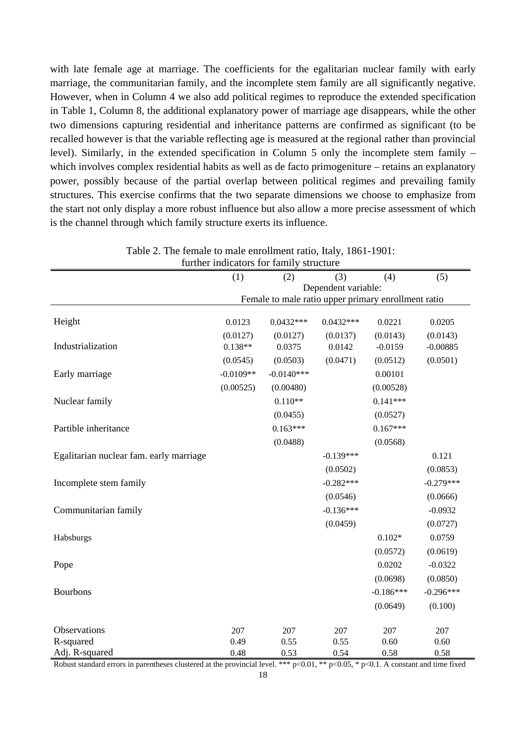with late female age at marriage. The coefficients for the egalitarian nuclear family with early marriage, the communitarian family, and the incomplete stem family are all significantly negative. However, when in Column 4 we also add political regimes to reproduce the extended specification in Table 1, Column 8, the additional explanatory power of marriage age disappears, while the other two dimensions capturing residential and inheritance patterns are confirmed as significant (to be recalled however is that the variable reflecting age is measured at the regional rather than provincial level). Similarly, in the extended specification in Column 5 only the incomplete stem family – which involves complex residential habits as well as de facto primogeniture – retains an explanatory power, possibly because of the partial overlap between political regimes and prevailing family structures. This exercise confirms that the two separate dimensions we choose to emphasize from the start not only display a more robust influence but also allow a more precise assessment of which is the channel through which family structure exerts its influence.

| further indicators for family structure |             |                                                     |                     |             |             |  |  |
|-----------------------------------------|-------------|-----------------------------------------------------|---------------------|-------------|-------------|--|--|
|                                         | (1)         | (2)                                                 | (3)                 | (4)         | (5)         |  |  |
|                                         |             |                                                     | Dependent variable: |             |             |  |  |
|                                         |             | Female to male ratio upper primary enrollment ratio |                     |             |             |  |  |
| Height                                  | 0.0123      | $0.0432***$                                         | $0.0432***$         | 0.0221      | 0.0205      |  |  |
|                                         | (0.0127)    | (0.0127)                                            | (0.0137)            | (0.0143)    | (0.0143)    |  |  |
| Industrialization                       | $0.138**$   | 0.0375                                              | 0.0142              | $-0.0159$   | $-0.00885$  |  |  |
|                                         | (0.0545)    | (0.0503)                                            | (0.0471)            | (0.0512)    | (0.0501)    |  |  |
| Early marriage                          | $-0.0109**$ | $-0.0140***$                                        |                     | 0.00101     |             |  |  |
|                                         | (0.00525)   | (0.00480)                                           |                     | (0.00528)   |             |  |  |
| Nuclear family                          |             | $0.110**$                                           |                     | $0.141***$  |             |  |  |
|                                         |             | (0.0455)                                            |                     | (0.0527)    |             |  |  |
| Partible inheritance                    |             | $0.163***$                                          |                     | $0.167***$  |             |  |  |
|                                         |             | (0.0488)                                            |                     | (0.0568)    |             |  |  |
| Egalitarian nuclear fam. early marriage |             |                                                     | $-0.139***$         |             | 0.121       |  |  |
|                                         |             |                                                     | (0.0502)            |             | (0.0853)    |  |  |
|                                         |             |                                                     | $-0.282***$         |             | $-0.279***$ |  |  |
| Incomplete stem family                  |             |                                                     |                     |             |             |  |  |
|                                         |             |                                                     | (0.0546)            |             | (0.0666)    |  |  |
| Communitarian family                    |             |                                                     | $-0.136***$         |             | $-0.0932$   |  |  |
|                                         |             |                                                     | (0.0459)            |             | (0.0727)    |  |  |
| Habsburgs                               |             |                                                     |                     | $0.102*$    | 0.0759      |  |  |
|                                         |             |                                                     |                     | (0.0572)    | (0.0619)    |  |  |
| Pope                                    |             |                                                     |                     | 0.0202      | $-0.0322$   |  |  |
|                                         |             |                                                     |                     | (0.0698)    | (0.0850)    |  |  |
| <b>Bourbons</b>                         |             |                                                     |                     | $-0.186***$ | $-0.296***$ |  |  |
|                                         |             |                                                     |                     | (0.0649)    | (0.100)     |  |  |
|                                         |             |                                                     |                     |             |             |  |  |
| Observations                            | 207         | 207                                                 | 207                 | 207         | 207         |  |  |
| R-squared                               | 0.49        | 0.55                                                | 0.55                | 0.60        | 0.60        |  |  |
| Adj. R-squared                          | 0.48        | 0.53                                                | 0.54                | 0.58        | 0.58        |  |  |

Table 2. The female to male enrollment ratio, Italy, 1861-1901:

Robust standard errors in parentheses clustered at the provincial level. \*\*\*  $p<0.01$ , \*\*  $p<0.05$ , \*  $p<0.1$ . A constant and time fixed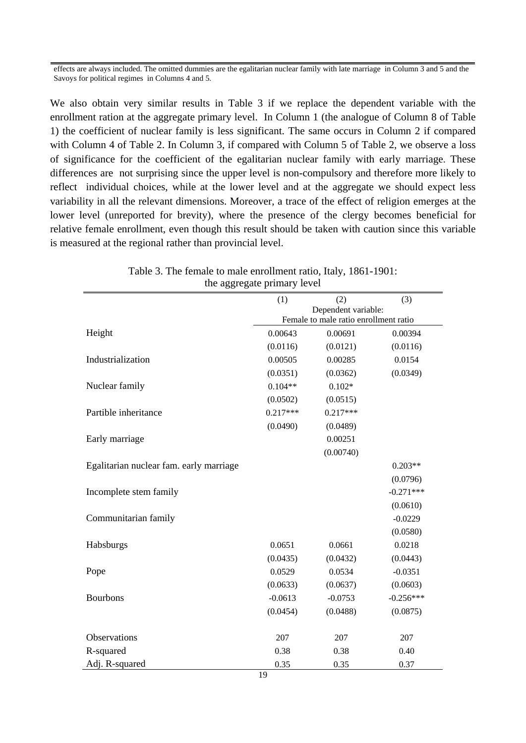effects are always included. The omitted dummies are the egalitarian nuclear family with late marriage in Column 3 and 5 and the Savoys for political regimes in Columns 4 and 5.

We also obtain very similar results in Table 3 if we replace the dependent variable with the enrollment ration at the aggregate primary level. In Column 1 (the analogue of Column 8 of Table 1) the coefficient of nuclear family is less significant. The same occurs in Column 2 if compared with Column 4 of Table 2. In Column 3, if compared with Column 5 of Table 2, we observe a loss of significance for the coefficient of the egalitarian nuclear family with early marriage. These differences are not surprising since the upper level is non-compulsory and therefore more likely to reflect individual choices, while at the lower level and at the aggregate we should expect less variability in all the relevant dimensions. Moreover, a trace of the effect of religion emerges at the lower level (unreported for brevity), where the presence of the clergy becomes beneficial for relative female enrollment, even though this result should be taken with caution since this variable is measured at the regional rather than provincial level.

| uit aggitgait primary it ver            |                                                              |            |             |  |  |
|-----------------------------------------|--------------------------------------------------------------|------------|-------------|--|--|
|                                         | (1)                                                          | (2)        | (3)         |  |  |
|                                         | Dependent variable:<br>Female to male ratio enrollment ratio |            |             |  |  |
|                                         |                                                              |            |             |  |  |
| Height                                  | 0.00643                                                      | 0.00691    | 0.00394     |  |  |
|                                         | (0.0116)                                                     | (0.0121)   | (0.0116)    |  |  |
| Industrialization                       | 0.00505                                                      | 0.00285    | 0.0154      |  |  |
|                                         | (0.0351)                                                     | (0.0362)   | (0.0349)    |  |  |
| Nuclear family                          | $0.104**$                                                    | $0.102*$   |             |  |  |
|                                         | (0.0502)                                                     | (0.0515)   |             |  |  |
| Partible inheritance                    | $0.217***$                                                   | $0.217***$ |             |  |  |
|                                         | (0.0490)                                                     | (0.0489)   |             |  |  |
| Early marriage                          |                                                              | 0.00251    |             |  |  |
|                                         |                                                              | (0.00740)  |             |  |  |
| Egalitarian nuclear fam. early marriage |                                                              |            | $0.203**$   |  |  |
|                                         |                                                              |            | (0.0796)    |  |  |
| Incomplete stem family                  |                                                              |            | $-0.271***$ |  |  |
|                                         |                                                              |            | (0.0610)    |  |  |
| Communitarian family                    |                                                              |            | $-0.0229$   |  |  |
|                                         |                                                              |            | (0.0580)    |  |  |
| Habsburgs                               | 0.0651                                                       | 0.0661     | 0.0218      |  |  |
|                                         | (0.0435)                                                     | (0.0432)   | (0.0443)    |  |  |
| Pope                                    | 0.0529                                                       | 0.0534     | $-0.0351$   |  |  |
|                                         | (0.0633)                                                     | (0.0637)   | (0.0603)    |  |  |
| <b>Bourbons</b>                         | $-0.0613$                                                    | $-0.0753$  | $-0.256***$ |  |  |
|                                         | (0.0454)                                                     | (0.0488)   | (0.0875)    |  |  |
|                                         |                                                              |            |             |  |  |
| Observations                            | 207                                                          | 207        | 207         |  |  |
| R-squared                               | 0.38                                                         | 0.38       | 0.40        |  |  |
| Adj. R-squared                          | 0.35                                                         | 0.35       | 0.37        |  |  |
|                                         |                                                              |            |             |  |  |

Table 3. The female to male enrollment ratio, Italy, 1861-1901: the aggregate primary level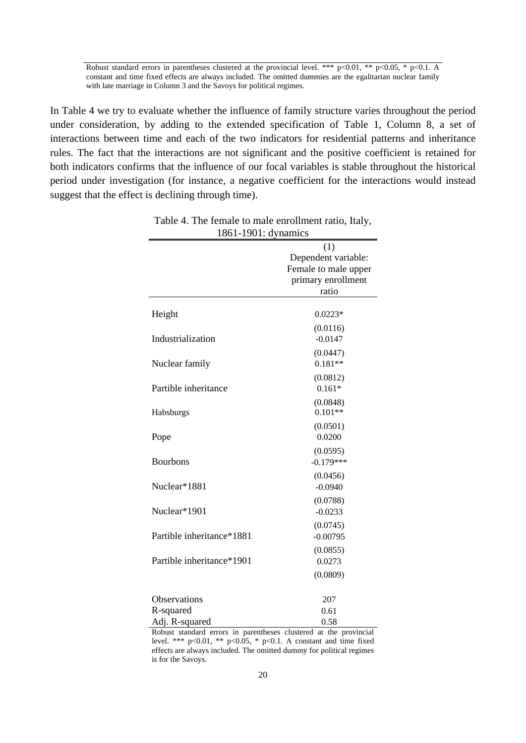Robust standard errors in parentheses clustered at the provincial level. \*\*\* p<0.01, \*\* p<0.05, \* p<0.1. A constant and time fixed effects are always included. The omitted dummies are the egalitarian nuclear family with late marriage in Column 3 and the Savoys for political regimes.

In Table 4 we try to evaluate whether the influence of family structure varies throughout the period under consideration, by adding to the extended specification of Table 1, Column 8, a set of interactions between time and each of the two indicators for residential patterns and inheritance rules. The fact that the interactions are not significant and the positive coefficient is retained for both indicators confirms that the influence of our focal variables is stable throughout the historical period under investigation (for instance, a negative coefficient for the interactions would instead suggest that the effect is declining through time).

| 1001 1701. uymannos       |                                                                                                                                                                                                                                                                                                                                                           |
|---------------------------|-----------------------------------------------------------------------------------------------------------------------------------------------------------------------------------------------------------------------------------------------------------------------------------------------------------------------------------------------------------|
|                           | (1)                                                                                                                                                                                                                                                                                                                                                       |
|                           | Dependent variable:                                                                                                                                                                                                                                                                                                                                       |
|                           | Female to male upper<br>primary enrollment<br>ratio<br>$0.0223*$<br>(0.0116)<br>$-0.0147$<br>(0.0447)<br>$0.181**$<br>(0.0812)<br>$0.161*$<br>(0.0848)<br>$0.101**$<br>(0.0501)<br>0.0200<br>(0.0595)<br>$-0.179***$<br>(0.0456)<br>$-0.0940$<br>(0.0788)<br>$-0.0233$<br>(0.0745)<br>$-0.00795$<br>(0.0855)<br>0.0273<br>(0.0809)<br>207<br>0.61<br>0.58 |
|                           |                                                                                                                                                                                                                                                                                                                                                           |
|                           |                                                                                                                                                                                                                                                                                                                                                           |
|                           |                                                                                                                                                                                                                                                                                                                                                           |
| Height                    |                                                                                                                                                                                                                                                                                                                                                           |
|                           |                                                                                                                                                                                                                                                                                                                                                           |
| Industrialization         |                                                                                                                                                                                                                                                                                                                                                           |
|                           |                                                                                                                                                                                                                                                                                                                                                           |
| Nuclear family            |                                                                                                                                                                                                                                                                                                                                                           |
|                           |                                                                                                                                                                                                                                                                                                                                                           |
| Partible inheritance      |                                                                                                                                                                                                                                                                                                                                                           |
|                           |                                                                                                                                                                                                                                                                                                                                                           |
| Habsburgs                 |                                                                                                                                                                                                                                                                                                                                                           |
|                           |                                                                                                                                                                                                                                                                                                                                                           |
| Pope                      |                                                                                                                                                                                                                                                                                                                                                           |
|                           |                                                                                                                                                                                                                                                                                                                                                           |
| <b>Bourbons</b>           |                                                                                                                                                                                                                                                                                                                                                           |
|                           |                                                                                                                                                                                                                                                                                                                                                           |
| Nuclear*1881              |                                                                                                                                                                                                                                                                                                                                                           |
|                           |                                                                                                                                                                                                                                                                                                                                                           |
| Nuclear*1901              |                                                                                                                                                                                                                                                                                                                                                           |
|                           |                                                                                                                                                                                                                                                                                                                                                           |
| Partible inheritance*1881 |                                                                                                                                                                                                                                                                                                                                                           |
|                           |                                                                                                                                                                                                                                                                                                                                                           |
| Partible inheritance*1901 |                                                                                                                                                                                                                                                                                                                                                           |
|                           |                                                                                                                                                                                                                                                                                                                                                           |
|                           |                                                                                                                                                                                                                                                                                                                                                           |
| Observations              |                                                                                                                                                                                                                                                                                                                                                           |
| R-squared                 |                                                                                                                                                                                                                                                                                                                                                           |
| Adj. R-squared            |                                                                                                                                                                                                                                                                                                                                                           |
|                           |                                                                                                                                                                                                                                                                                                                                                           |

Table 4. The female to male enrollment ratio, Italy, 1861-1901: dynamics

Robust standard errors in parentheses clustered at the provincial level. \*\*\*  $p<0.01$ , \*\*  $p<0.05$ , \*  $p<0.1$ . A constant and time fixed effects are always included. The omitted dummy for political regimes is for the Savoys.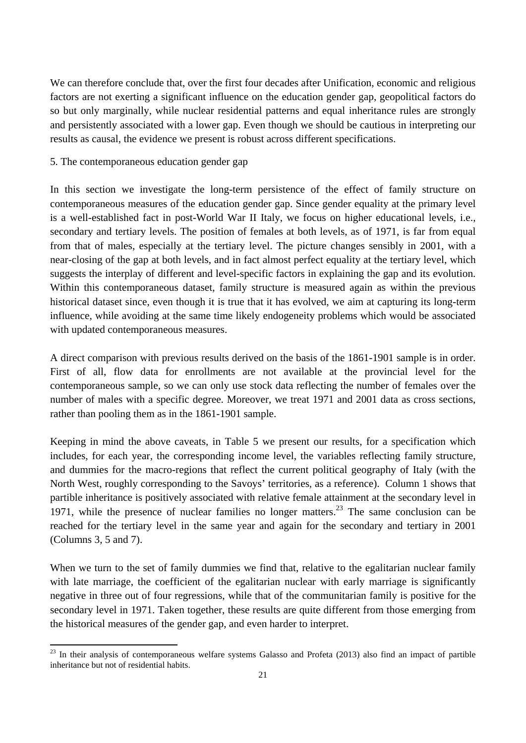We can therefore conclude that, over the first four decades after Unification, economic and religious factors are not exerting a significant influence on the education gender gap, geopolitical factors do so but only marginally, while nuclear residential patterns and equal inheritance rules are strongly and persistently associated with a lower gap. Even though we should be cautious in interpreting our results as causal, the evidence we present is robust across different specifications.

#### 5. The contemporaneous education gender gap

In this section we investigate the long-term persistence of the effect of family structure on contemporaneous measures of the education gender gap. Since gender equality at the primary level is a well-established fact in post-World War II Italy, we focus on higher educational levels, i.e., secondary and tertiary levels. The position of females at both levels, as of 1971, is far from equal from that of males, especially at the tertiary level. The picture changes sensibly in 2001, with a near-closing of the gap at both levels, and in fact almost perfect equality at the tertiary level, which suggests the interplay of different and level-specific factors in explaining the gap and its evolution. Within this contemporaneous dataset, family structure is measured again as within the previous historical dataset since, even though it is true that it has evolved, we aim at capturing its long-term influence, while avoiding at the same time likely endogeneity problems which would be associated with updated contemporaneous measures.

A direct comparison with previous results derived on the basis of the 1861-1901 sample is in order. First of all, flow data for enrollments are not available at the provincial level for the contemporaneous sample, so we can only use stock data reflecting the number of females over the number of males with a specific degree. Moreover, we treat 1971 and 2001 data as cross sections, rather than pooling them as in the 1861-1901 sample.

Keeping in mind the above caveats, in Table 5 we present our results, for a specification which includes, for each year, the corresponding income level, the variables reflecting family structure, and dummies for the macro-regions that reflect the current political geography of Italy (with the North West, roughly corresponding to the Savoys' territories, as a reference). Column 1 shows that partible inheritance is positively associated with relative female attainment at the secondary level in 1971, while the presence of nuclear families no longer matters.<sup>23</sup> The same conclusion can be reached for the tertiary level in the same year and again for the secondary and tertiary in 2001 (Columns 3, 5 and 7).

When we turn to the set of family dummies we find that, relative to the egalitarian nuclear family with late marriage, the coefficient of the egalitarian nuclear with early marriage is significantly negative in three out of four regressions, while that of the communitarian family is positive for the secondary level in 1971. Taken together, these results are quite different from those emerging from the historical measures of the gender gap, and even harder to interpret.

  $23$  In their analysis of contemporaneous welfare systems Galasso and Profeta (2013) also find an impact of partible inheritance but not of residential habits.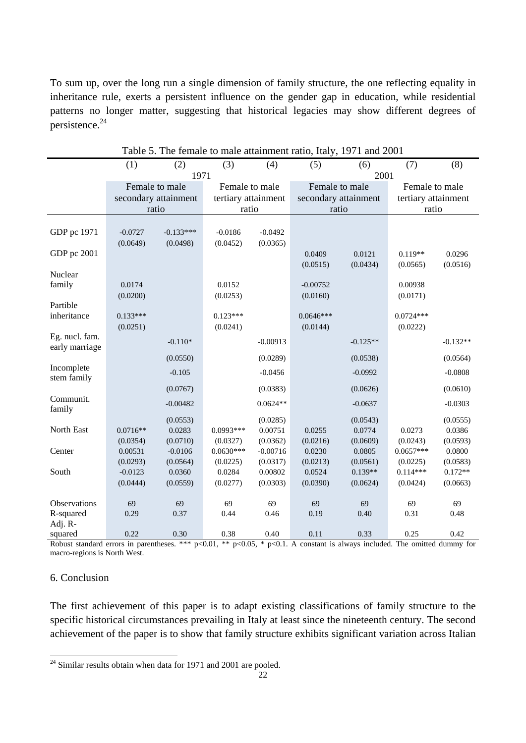To sum up, over the long run a single dimension of family structure, the one reflecting equality in inheritance rule, exerts a persistent influence on the gender gap in education, while residential patterns no longer matter, suggesting that historical legacies may show different degrees of persistence.<sup>24</sup>

|                | Favie ). The female to male audimitem ratio, hary, $1771$ and $2001$ |                      |                     |            |                      |            |                     |            |
|----------------|----------------------------------------------------------------------|----------------------|---------------------|------------|----------------------|------------|---------------------|------------|
|                | (1)                                                                  | (2)                  | (3)                 | (4)        | (5)                  | (6)        | (7)                 | (8)        |
|                |                                                                      | 1971                 |                     |            |                      | 2001       |                     |            |
|                |                                                                      | Female to male       | Female to male      |            |                      |            | Female to male      |            |
|                |                                                                      |                      |                     |            | Female to male       |            |                     |            |
|                |                                                                      | secondary attainment | tertiary attainment |            | secondary attainment |            | tertiary attainment |            |
|                |                                                                      | ratio                | ratio               |            | ratio                |            | ratio               |            |
|                |                                                                      |                      |                     |            |                      |            |                     |            |
| GDP pc 1971    | $-0.0727$                                                            | $-0.133***$          | $-0.0186$           | $-0.0492$  |                      |            |                     |            |
|                | (0.0649)                                                             | (0.0498)             | (0.0452)            | (0.0365)   |                      |            |                     |            |
| GDP pc 2001    |                                                                      |                      |                     |            | 0.0409               | 0.0121     | $0.119**$           | 0.0296     |
|                |                                                                      |                      |                     |            | (0.0515)             | (0.0434)   | (0.0565)            | (0.0516)   |
| Nuclear        |                                                                      |                      |                     |            |                      |            |                     |            |
| family         | 0.0174                                                               |                      | 0.0152              |            | $-0.00752$           |            | 0.00938             |            |
|                | (0.0200)                                                             |                      | (0.0253)            |            | (0.0160)             |            | (0.0171)            |            |
| Partible       |                                                                      |                      |                     |            |                      |            |                     |            |
| inheritance    | $0.133***$                                                           |                      | $0.123***$          |            | $0.0646***$          |            | $0.0724***$         |            |
|                | (0.0251)                                                             |                      | (0.0241)            |            | (0.0144)             |            | (0.0222)            |            |
| Eg. nucl. fam. |                                                                      |                      |                     |            |                      |            |                     |            |
| early marriage |                                                                      | $-0.110*$            |                     | $-0.00913$ |                      | $-0.125**$ |                     | $-0.132**$ |
|                |                                                                      |                      |                     |            |                      |            |                     |            |
|                |                                                                      | (0.0550)             |                     | (0.0289)   |                      | (0.0538)   |                     | (0.0564)   |
| Incomplete     |                                                                      | $-0.105$             |                     | $-0.0456$  |                      | $-0.0992$  |                     | $-0.0808$  |
| stem family    |                                                                      |                      |                     |            |                      |            |                     |            |
|                |                                                                      | (0.0767)             |                     | (0.0383)   |                      | (0.0626)   |                     | (0.0610)   |
| Communit.      |                                                                      | $-0.00482$           |                     | $0.0624**$ |                      | $-0.0637$  |                     | $-0.0303$  |
| family         |                                                                      |                      |                     |            |                      |            |                     |            |
|                |                                                                      | (0.0553)             |                     | (0.0285)   |                      | (0.0543)   |                     | (0.0555)   |
| North East     | $0.0716**$                                                           | 0.0283               | $0.0993***$         | 0.00751    | 0.0255               | 0.0774     | 0.0273              | 0.0386     |
|                | (0.0354)                                                             | (0.0710)             | (0.0327)            | (0.0362)   | (0.0216)             | (0.0609)   | (0.0243)            | (0.0593)   |
| Center         | 0.00531                                                              | $-0.0106$            | $0.0630***$         | $-0.00716$ | 0.0230               | 0.0805     | $0.0657***$         | 0.0800     |
|                | (0.0293)                                                             | (0.0564)             | (0.0225)            | (0.0317)   | (0.0213)             | (0.0561)   | (0.0225)            | (0.0583)   |
| South          | $-0.0123$                                                            | 0.0360               | 0.0284              | 0.00802    | 0.0524               | $0.139**$  | $0.114***$          | $0.172**$  |
|                | (0.0444)                                                             | (0.0559)             | (0.0277)            | (0.0303)   | (0.0390)             | (0.0624)   | (0.0424)            | (0.0663)   |
|                |                                                                      |                      |                     |            |                      |            |                     |            |
| Observations   | 69                                                                   | 69                   | 69                  | 69         | 69                   | 69         | 69                  | 69         |
| R-squared      | 0.29                                                                 | 0.37                 | 0.44                | 0.46       | 0.19                 | 0.40       | 0.31                | 0.48       |
| Adj. R-        |                                                                      |                      |                     |            |                      |            |                     |            |
| squared        | 0.22                                                                 | 0.30                 | 0.38                | 0.40       | 0.11                 | 0.33       | 0.25                | 0.42       |
|                |                                                                      |                      |                     |            |                      |            | m.                  |            |

Table 5. The female to male attainment ratio, Italy, 1971 and 2001

Robust standard errors in parentheses. \*\*\* p<0.01, \*\* p<0.05, \* p<0.1. A constant is always included. The omitted dummy for macro-regions is North West.

## 6. Conclusion

The first achievement of this paper is to adapt existing classifications of family structure to the specific historical circumstances prevailing in Italy at least since the nineteenth century. The second achievement of the paper is to show that family structure exhibits significant variation across Italian

 $24$  Similar results obtain when data for 1971 and 2001 are pooled.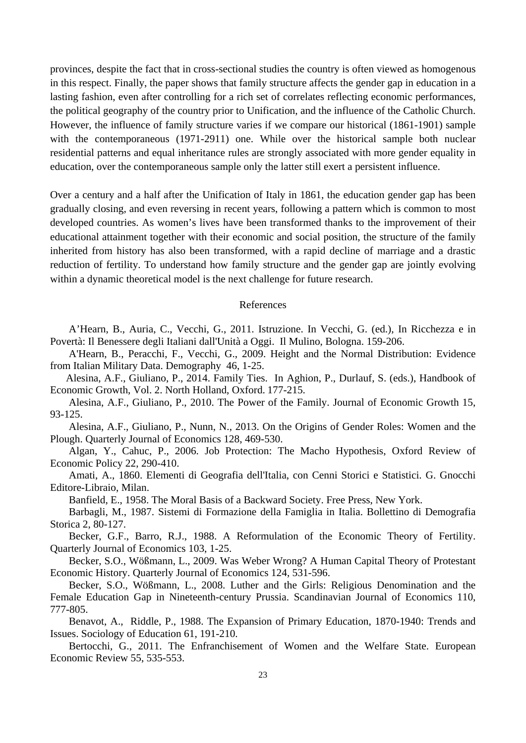provinces, despite the fact that in cross-sectional studies the country is often viewed as homogenous in this respect. Finally, the paper shows that family structure affects the gender gap in education in a lasting fashion, even after controlling for a rich set of correlates reflecting economic performances, the political geography of the country prior to Unification, and the influence of the Catholic Church. However, the influence of family structure varies if we compare our historical (1861-1901) sample with the contemporaneous (1971-2911) one. While over the historical sample both nuclear residential patterns and equal inheritance rules are strongly associated with more gender equality in education, over the contemporaneous sample only the latter still exert a persistent influence.

Over a century and a half after the Unification of Italy in 1861, the education gender gap has been gradually closing, and even reversing in recent years, following a pattern which is common to most developed countries. As women's lives have been transformed thanks to the improvement of their educational attainment together with their economic and social position, the structure of the family inherited from history has also been transformed, with a rapid decline of marriage and a drastic reduction of fertility. To understand how family structure and the gender gap are jointly evolving within a dynamic theoretical model is the next challenge for future research.

#### References

A'Hearn, B., Auria, C., Vecchi, G., 2011. Istruzione. In Vecchi, G. (ed.), In Ricchezza e in Povertà: Il Benessere degli Italiani dall'Unità a Oggi. Il Mulino, Bologna. 159-206.

A'Hearn, B., Peracchi, F., Vecchi, G., 2009. Height and the Normal Distribution: Evidence from Italian Military Data. Demography 46, 1-25.

 Alesina, A.F., Giuliano, P., 2014. Family Ties. In Aghion, P., Durlauf, S. (eds.), Handbook of Economic Growth, Vol. 2. North Holland, Oxford. 177-215.

Alesina, A.F., Giuliano, P., 2010. The Power of the Family. Journal of Economic Growth 15, 93-125.

Alesina, A.F., Giuliano, P., Nunn, N., 2013. On the Origins of Gender Roles: Women and the Plough. Quarterly Journal of Economics 128, 469-530.

Algan, Y., Cahuc, P., 2006. Job Protection: The Macho Hypothesis, Oxford Review of Economic Policy 22, 290-410.

Amati, A., 1860. Elementi di Geografia dell'Italia, con Cenni Storici e Statistici. G. Gnocchi Editore-Libraio, Milan.

Banfield, E., 1958. The Moral Basis of a Backward Society. Free Press, New York.

Barbagli, M., 1987. Sistemi di Formazione della Famiglia in Italia. Bollettino di Demografia Storica 2, 80-127.

Becker, G.F., Barro, R.J., 1988. A Reformulation of the Economic Theory of Fertility. Quarterly Journal of Economics 103, 1-25.

Becker, S.O., Wößmann, L., 2009. Was Weber Wrong? A Human Capital Theory of Protestant Economic History. Quarterly Journal of Economics 124, 531-596.

Becker, S.O., Wößmann, L., 2008. Luther and the Girls: Religious Denomination and the Female Education Gap in Nineteenth-century Prussia. Scandinavian Journal of Economics 110, 777-805.

Benavot, A., Riddle, P., 1988. The Expansion of Primary Education, 1870-1940: Trends and Issues. Sociology of Education 61, 191-210.

Bertocchi, G., 2011. The Enfranchisement of Women and the Welfare State. European Economic Review 55, 535-553.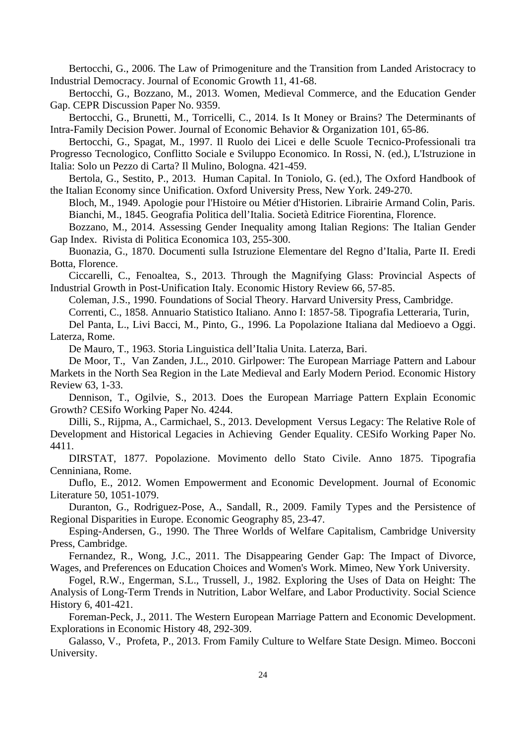Bertocchi, G., 2006. The Law of Primogeniture and the Transition from Landed Aristocracy to Industrial Democracy. Journal of Economic Growth 11, 41-68.

Bertocchi, G., Bozzano, M., 2013. Women, Medieval Commerce, and the Education Gender Gap. CEPR Discussion Paper No. 9359.

Bertocchi, G., Brunetti, M., Torricelli, C., 2014. Is It Money or Brains? The Determinants of Intra-Family Decision Power. Journal of Economic Behavior & Organization 101, 65-86.

Bertocchi, G., Spagat, M., 1997. Il Ruolo dei Licei e delle Scuole Tecnico-Professionali tra Progresso Tecnologico, Conflitto Sociale e Sviluppo Economico. In Rossi, N. (ed.), L'Istruzione in

Italia: Solo un Pezzo di Carta? Il Mulino, Bologna. 421-459.

Bertola, G., Sestito, P., 2013. Human Capital. In Toniolo, G. (ed.), The Oxford Handbook of the Italian Economy since Unification. Oxford University Press, New York. 249-270.

Bloch, M., 1949. Apologie pour l'Histoire ou Métier d'Historien. Librairie Armand Colin, Paris. Bianchi, M., 1845. Geografia Politica dell'Italia. Società Editrice Fiorentina, Florence.

Bozzano, M., 2014. Assessing Gender Inequality among Italian Regions: The Italian Gender Gap Index. Rivista di Politica Economica 103, 255-300.

Buonazia, G., 1870. Documenti sulla Istruzione Elementare del Regno d'Italia, Parte II. Eredi Botta, Florence.

Ciccarelli, C., Fenoaltea, S., 2013. Through the Magnifying Glass: Provincial Aspects of Industrial Growth in Post-Unification Italy. Economic History Review 66, 57-85.

Coleman, J.S., 1990. Foundations of Social Theory. Harvard University Press, Cambridge.

Correnti, C., 1858. Annuario Statistico Italiano. Anno I: 1857-58. Tipografia Letteraria, Turin,

Del Panta, L., Livi Bacci, M., Pinto, G., 1996. La Popolazione Italiana dal Medioevo a Oggi. Laterza, Rome.

De Mauro, T., 1963. Storia Linguistica dell'Italia Unita. Laterza, Bari.

De Moor, T., Van Zanden, J.L., 2010. Girlpower: The European Marriage Pattern and Labour Markets in the North Sea Region in the Late Medieval and Early Modern Period. Economic History Review 63, 1-33.

Dennison, T., Ogilvie, S., 2013. Does the European Marriage Pattern Explain Economic Growth? CESifo Working Paper No. 4244.

Dilli, S., Rijpma, A., Carmichael, S., 2013. Development Versus Legacy: The Relative Role of Development and Historical Legacies in Achieving Gender Equality. CESifo Working Paper No. 4411.

DIRSTAT, 1877. Popolazione. Movimento dello Stato Civile. Anno 1875. Tipografia Cenniniana, Rome.

Duflo, E., 2012. Women Empowerment and Economic Development. Journal of Economic Literature 50, 1051-1079.

Duranton, G., Rodriguez-Pose, A., Sandall, R., 2009. Family Types and the Persistence of Regional Disparities in Europe. Economic Geography 85, 23-47.

Esping-Andersen, G., 1990. The Three Worlds of Welfare Capitalism, Cambridge University Press, Cambridge.

Fernandez, R., Wong, J.C., 2011. The Disappearing Gender Gap: The Impact of Divorce, Wages, and Preferences on Education Choices and Women's Work. Mimeo, New York University.

Fogel, R.W., Engerman, S.L., Trussell, J., 1982. Exploring the Uses of Data on Height: The Analysis of Long-Term Trends in Nutrition, Labor Welfare, and Labor Productivity. Social Science History 6, 401-421.

Foreman-Peck, J., 2011. The Western European Marriage Pattern and Economic Development. Explorations in Economic History 48, 292-309.

Galasso, V., Profeta, P., 2013. From Family Culture to Welfare State Design. Mimeo. Bocconi University.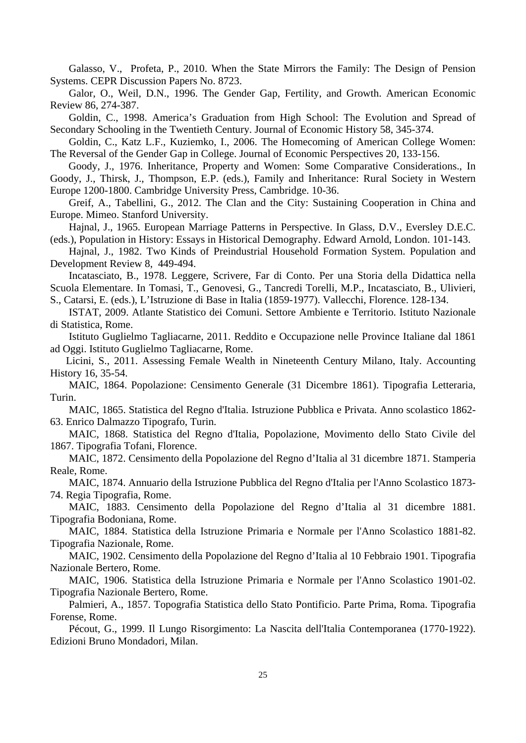Galasso, V., Profeta, P., 2010. When the State Mirrors the Family: The Design of Pension Systems. CEPR Discussion Papers No. 8723.

Galor, O., Weil, D.N., 1996. The Gender Gap, Fertility, and Growth. American Economic Review 86, 274-387.

Goldin, C., 1998. America's Graduation from High School: The Evolution and Spread of Secondary Schooling in the Twentieth Century. Journal of Economic History 58, 345-374.

Goldin, C., Katz L.F., Kuziemko, I., 2006. The Homecoming of American College Women: The Reversal of the Gender Gap in College. Journal of Economic Perspectives 20, 133-156.

 Goody, J., 1976. Inheritance, Property and Women: Some Comparative Considerations., In Goody, J., Thirsk, J., Thompson, E.P. (eds.), Family and Inheritance: Rural Society in Western Europe 1200-1800. Cambridge University Press, Cambridge. 10-36.

Greif, A., Tabellini, G., 2012. The Clan and the City: Sustaining Cooperation in China and Europe. Mimeo. Stanford University.

Hajnal, J., 1965. European Marriage Patterns in Perspective. In Glass, D.V., Eversley D.E.C. (eds.), Population in History: Essays in Historical Demography. Edward Arnold, London. 101-143.

Hajnal, J., 1982. Two Kinds of Preindustrial Household Formation System. Population and Development Review 8, 449-494.

Incatasciato, B., 1978. Leggere, Scrivere, Far di Conto. Per una Storia della Didattica nella Scuola Elementare. In Tomasi, T., Genovesi, G., Tancredi Torelli, M.P., Incatasciato, B., Ulivieri,

S., Catarsi, E. (eds.), L'Istruzione di Base in Italia (1859-1977). Vallecchi, Florence. 128-134.

ISTAT, 2009. Atlante Statistico dei Comuni. Settore Ambiente e Territorio. Istituto Nazionale di Statistica, Rome.

Istituto Guglielmo Tagliacarne, 2011. Reddito e Occupazione nelle Province Italiane dal 1861 ad Oggi. Istituto Guglielmo Tagliacarne, Rome.

 Licini, S., 2011. Assessing Female Wealth in Nineteenth Century Milano, Italy. Accounting History 16, 35-54.

MAIC, 1864. Popolazione: Censimento Generale (31 Dicembre 1861). Tipografia Letteraria, Turin.

MAIC, 1865. Statistica del Regno d'Italia. Istruzione Pubblica e Privata. Anno scolastico 1862- 63. Enrico Dalmazzo Tipografo, Turin.

MAIC, 1868. Statistica del Regno d'Italia, Popolazione, Movimento dello Stato Civile del 1867. Tipografia Tofani, Florence.

MAIC, 1872. Censimento della Popolazione del Regno d'Italia al 31 dicembre 1871. Stamperia Reale, Rome.

MAIC, 1874. Annuario della Istruzione Pubblica del Regno d'Italia per l'Anno Scolastico 1873- 74. Regia Tipografia, Rome.

MAIC, 1883. Censimento della Popolazione del Regno d'Italia al 31 dicembre 1881. Tipografia Bodoniana, Rome.

MAIC, 1884. Statistica della Istruzione Primaria e Normale per l'Anno Scolastico 1881-82. Tipografia Nazionale, Rome.

MAIC, 1902. Censimento della Popolazione del Regno d'Italia al 10 Febbraio 1901. Tipografia Nazionale Bertero, Rome.

MAIC, 1906. Statistica della Istruzione Primaria e Normale per l'Anno Scolastico 1901-02. Tipografia Nazionale Bertero, Rome.

Palmieri, A., 1857. Topografia Statistica dello Stato Pontificio. Parte Prima, Roma. Tipografia Forense, Rome.

Pécout, G., 1999. Il Lungo Risorgimento: La Nascita dell'Italia Contemporanea (1770-1922). Edizioni Bruno Mondadori, Milan.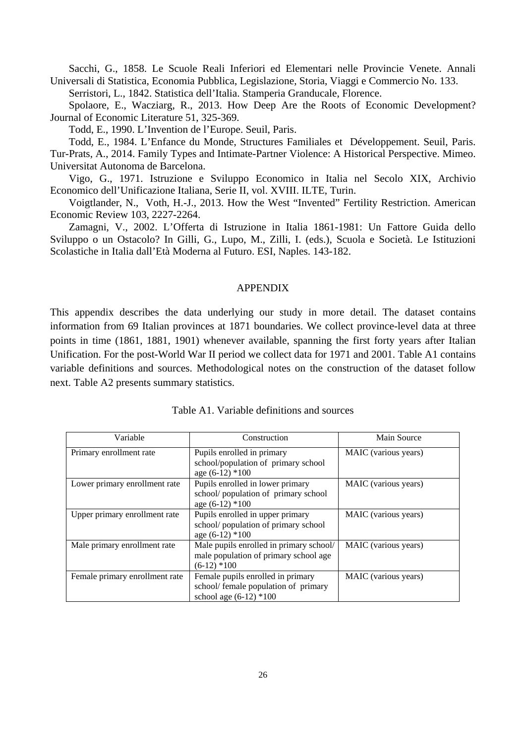Sacchi, G., 1858. Le Scuole Reali Inferiori ed Elementari nelle Provincie Venete. Annali Universali di Statistica, Economia Pubblica, Legislazione, Storia, Viaggi e Commercio No. 133.

Serristori, L., 1842. Statistica dell'Italia. Stamperia Granducale, Florence.

Spolaore, E., Wacziarg, R., 2013. How Deep Are the Roots of Economic Development? Journal of Economic Literature 51, 325-369.

Todd, E., 1990. L'Invention de l'Europe. Seuil, Paris.

Todd, E., 1984. L'Enfance du Monde, Structures Familiales et Développement. Seuil, Paris. Tur-Prats, A., 2014. Family Types and Intimate-Partner Violence: A Historical Perspective. Mimeo. Universitat Autonoma de Barcelona.

Vigo, G., 1971. Istruzione e Sviluppo Economico in Italia nel Secolo XIX, Archivio Economico dell'Unificazione Italiana, Serie II, vol. XVIII. ILTE, Turin.

Voigtlander, N., Voth, H.-J., 2013. How the West "Invented" Fertility Restriction. American Economic Review 103, 2227-2264.

Zamagni, V., 2002. L'Offerta di Istruzione in Italia 1861-1981: Un Fattore Guida dello Sviluppo o un Ostacolo? In Gilli, G., Lupo, M., Zilli, I. (eds.), Scuola e Società. Le Istituzioni Scolastiche in Italia dall'Età Moderna al Futuro. ESI, Naples. 143-182.

#### APPENDIX

This appendix describes the data underlying our study in more detail. The dataset contains information from 69 Italian provinces at 1871 boundaries. We collect province-level data at three points in time (1861, 1881, 1901) whenever available, spanning the first forty years after Italian Unification. For the post-World War II period we collect data for 1971 and 2001. Table A1 contains variable definitions and sources. Methodological notes on the construction of the dataset follow next. Table A2 presents summary statistics.

| Variable                       | Construction                                                                                          | Main Source          |
|--------------------------------|-------------------------------------------------------------------------------------------------------|----------------------|
| Primary enrollment rate        | Pupils enrolled in primary<br>school/population of primary school<br>age $(6-12)*100$                 | MAIC (various years) |
| Lower primary enrollment rate  | Pupils enrolled in lower primary<br>school/population of primary school<br>age $(6-12)$ *100          | MAIC (various years) |
| Upper primary enrollment rate  | Pupils enrolled in upper primary<br>school/population of primary school<br>age $(6-12)$ *100          | MAIC (various years) |
| Male primary enrollment rate   | Male pupils enrolled in primary school/<br>male population of primary school age<br>$(6-12)*100$      | MAIC (various years) |
| Female primary enrollment rate | Female pupils enrolled in primary<br>school/ female population of primary<br>school age $(6-12)$ *100 | MAIC (various years) |

| Table A1. Variable definitions and sources |
|--------------------------------------------|
|                                            |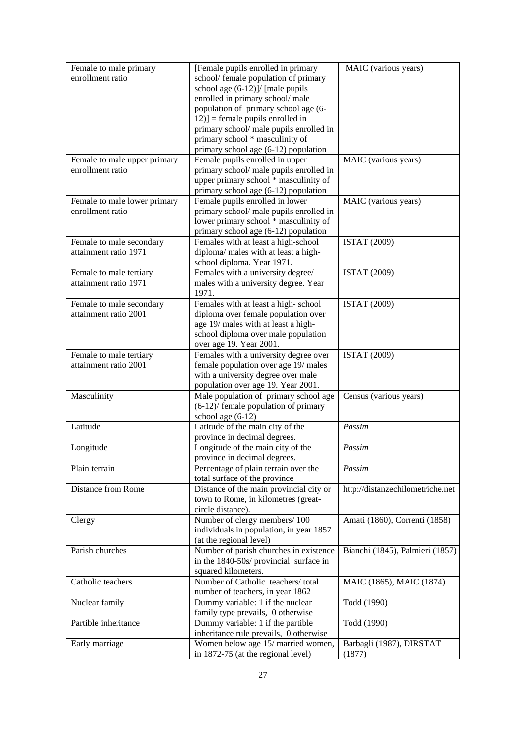| Female to male primary                           | [Female pupils enrolled in primary      | MAIC (various years)             |
|--------------------------------------------------|-----------------------------------------|----------------------------------|
| enrollment ratio                                 | school/ female population of primary    |                                  |
|                                                  | school age (6-12)]/ [male pupils        |                                  |
|                                                  | enrolled in primary school/male         |                                  |
|                                                  | population of primary school age (6-    |                                  |
|                                                  | $[12]$ = female pupils enrolled in      |                                  |
|                                                  | primary school/ male pupils enrolled in |                                  |
|                                                  | primary school * masculinity of         |                                  |
|                                                  | primary school age (6-12) population    |                                  |
| Female to male upper primary                     | Female pupils enrolled in upper         | MAIC (various years)             |
| enrollment ratio                                 | primary school/ male pupils enrolled in |                                  |
|                                                  | upper primary school * masculinity of   |                                  |
|                                                  | primary school age (6-12) population    |                                  |
|                                                  |                                         |                                  |
| Female to male lower primary<br>enrollment ratio | Female pupils enrolled in lower         | MAIC (various years)             |
|                                                  | primary school/ male pupils enrolled in |                                  |
|                                                  | lower primary school * masculinity of   |                                  |
|                                                  | primary school age (6-12) population    |                                  |
| Female to male secondary                         | Females with at least a high-school     | <b>ISTAT (2009)</b>              |
| attainment ratio 1971                            | diploma/ males with at least a high-    |                                  |
|                                                  | school diploma. Year 1971.              |                                  |
| Female to male tertiary                          | Females with a university degree/       | <b>ISTAT (2009)</b>              |
| attainment ratio 1971                            | males with a university degree. Year    |                                  |
|                                                  | 1971.                                   |                                  |
| Female to male secondary                         | Females with at least a high-school     | <b>ISTAT (2009)</b>              |
| attainment ratio 2001                            | diploma over female population over     |                                  |
|                                                  | age 19/ males with at least a high-     |                                  |
|                                                  | school diploma over male population     |                                  |
|                                                  | over age 19. Year 2001.                 |                                  |
| Female to male tertiary                          | Females with a university degree over   | <b>ISTAT (2009)</b>              |
| attainment ratio 2001                            | female population over age 19/ males    |                                  |
|                                                  | with a university degree over male      |                                  |
|                                                  | population over age 19. Year 2001.      |                                  |
| Masculinity                                      | Male population of primary school age   | Census (various years)           |
|                                                  | $(6-12)$ female population of primary   |                                  |
|                                                  | school age $(6-12)$                     |                                  |
| Latitude                                         | Latitude of the main city of the        | Passim                           |
|                                                  | province in decimal degrees.            |                                  |
| Longitude                                        | Longitude of the main city of the       | Passim                           |
|                                                  | province in decimal degrees.            |                                  |
| Plain terrain                                    | Percentage of plain terrain over the    | Passim                           |
|                                                  | total surface of the province           |                                  |
| Distance from Rome                               | Distance of the main provincial city or | http://distanzechilometriche.net |
|                                                  | town to Rome, in kilometres (great-     |                                  |
|                                                  | circle distance).                       |                                  |
| Clergy                                           | Number of clergy members/100            | Amati (1860), Correnti (1858)    |
|                                                  | individuals in population, in year 1857 |                                  |
|                                                  | (at the regional level)                 |                                  |
| Parish churches                                  | Number of parish churches in existence  | Bianchi (1845), Palmieri (1857)  |
|                                                  |                                         |                                  |
|                                                  | in the 1840-50s/ provincial surface in  |                                  |
|                                                  | squared kilometers.                     |                                  |
| Catholic teachers                                | Number of Catholic teachers/total       | MAIC (1865), MAIC (1874)         |
|                                                  | number of teachers, in year 1862        |                                  |
| Nuclear family                                   | Dummy variable: 1 if the nuclear        | Todd (1990)                      |
|                                                  | family type prevails, 0 otherwise       |                                  |
| Partible inheritance                             | Dummy variable: 1 if the partible       | Todd (1990)                      |
|                                                  | inheritance rule prevails, 0 otherwise  |                                  |
| Early marriage                                   | Women below age 15/ married women,      | Barbagli (1987), DIRSTAT         |
|                                                  | in 1872-75 (at the regional level)      | (1877)                           |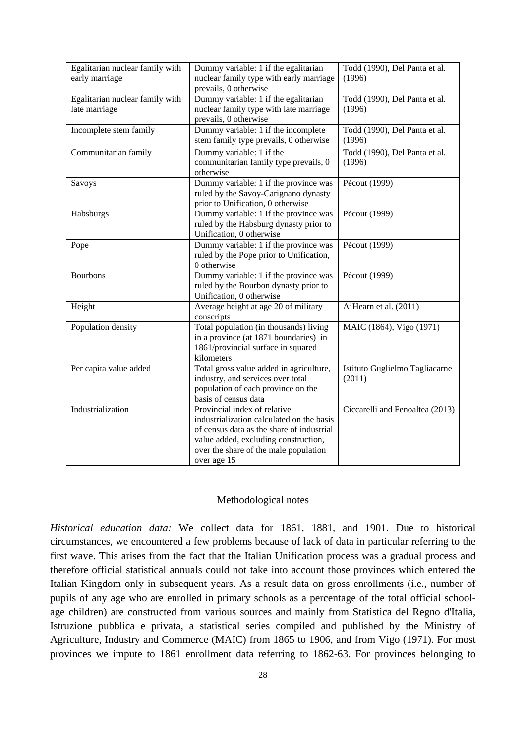| Egalitarian nuclear family with<br>early marriage | Dummy variable: 1 if the egalitarian<br>nuclear family type with early marriage<br>prevails, 0 otherwise | Todd (1990), Del Panta et al.<br>(1996) |
|---------------------------------------------------|----------------------------------------------------------------------------------------------------------|-----------------------------------------|
| Egalitarian nuclear family with                   | Dummy variable: 1 if the egalitarian                                                                     | Todd (1990), Del Panta et al.           |
| late marriage                                     | nuclear family type with late marriage                                                                   | (1996)                                  |
|                                                   | prevails, 0 otherwise                                                                                    |                                         |
| Incomplete stem family                            | Dummy variable: 1 if the incomplete                                                                      | Todd (1990), Del Panta et al.           |
|                                                   | stem family type prevails, 0 otherwise                                                                   | (1996)                                  |
| Communitarian family                              | Dummy variable: 1 if the                                                                                 | Todd (1990), Del Panta et al.           |
|                                                   | communitarian family type prevails, 0                                                                    | (1996)                                  |
|                                                   | otherwise                                                                                                |                                         |
| Savoys                                            | Dummy variable: 1 if the province was                                                                    | Pécout (1999)                           |
|                                                   | ruled by the Savoy-Carignano dynasty                                                                     |                                         |
|                                                   | prior to Unification, 0 otherwise                                                                        |                                         |
| Habsburgs                                         | Dummy variable: 1 if the province was                                                                    | Pécout (1999)                           |
|                                                   | ruled by the Habsburg dynasty prior to                                                                   |                                         |
|                                                   | Unification, 0 otherwise                                                                                 |                                         |
|                                                   |                                                                                                          | Pécout (1999)                           |
| Pope                                              | Dummy variable: 1 if the province was                                                                    |                                         |
|                                                   | ruled by the Pope prior to Unification,<br>0 otherwise                                                   |                                         |
|                                                   |                                                                                                          |                                         |
| <b>Bourbons</b>                                   | Dummy variable: 1 if the province was                                                                    | Pécout (1999)                           |
|                                                   | ruled by the Bourbon dynasty prior to                                                                    |                                         |
|                                                   | Unification, 0 otherwise                                                                                 |                                         |
| Height                                            | Average height at age 20 of military<br>conscripts                                                       | A'Hearn et al. (2011)                   |
| Population density                                | Total population (in thousands) living                                                                   | MAIC (1864), Vigo (1971)                |
|                                                   | in a province (at 1871 boundaries) in                                                                    |                                         |
|                                                   | 1861/provincial surface in squared                                                                       |                                         |
|                                                   | kilometers                                                                                               |                                         |
| Per capita value added                            | Total gross value added in agriculture,                                                                  | Istituto Guglielmo Tagliacarne          |
|                                                   | industry, and services over total                                                                        | (2011)                                  |
|                                                   | population of each province on the                                                                       |                                         |
|                                                   | basis of census data                                                                                     |                                         |
| Industrialization                                 | Provincial index of relative                                                                             | Ciccarelli and Fenoaltea (2013)         |
|                                                   | industrialization calculated on the basis                                                                |                                         |
|                                                   | of census data as the share of industrial                                                                |                                         |
|                                                   | value added, excluding construction,                                                                     |                                         |
|                                                   | over the share of the male population                                                                    |                                         |
|                                                   | over age 15                                                                                              |                                         |
|                                                   |                                                                                                          |                                         |

#### Methodological notes

*Historical education data:* We collect data for 1861, 1881, and 1901. Due to historical circumstances, we encountered a few problems because of lack of data in particular referring to the first wave. This arises from the fact that the Italian Unification process was a gradual process and therefore official statistical annuals could not take into account those provinces which entered the Italian Kingdom only in subsequent years. As a result data on gross enrollments (i.e., number of pupils of any age who are enrolled in primary schools as a percentage of the total official schoolage children) are constructed from various sources and mainly from Statistica del Regno d'Italia, Istruzione pubblica e privata, a statistical series compiled and published by the Ministry of Agriculture, Industry and Commerce (MAIC) from 1865 to 1906, and from Vigo (1971). For most provinces we impute to 1861 enrollment data referring to 1862-63. For provinces belonging to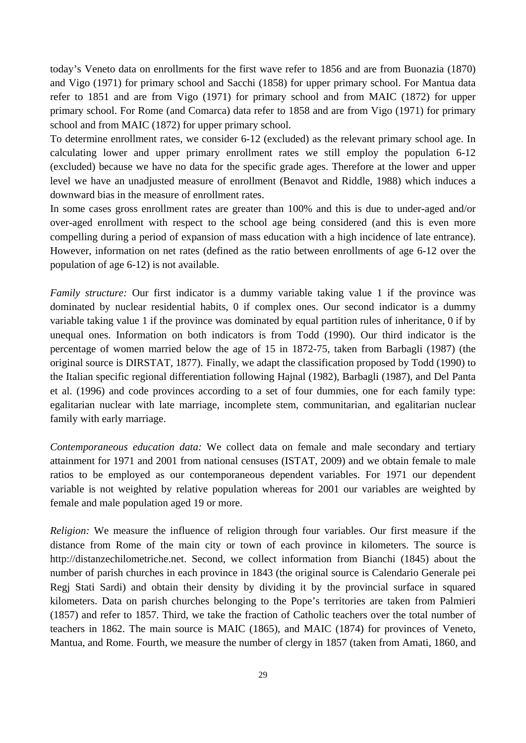today's Veneto data on enrollments for the first wave refer to 1856 and are from Buonazia (1870) and Vigo (1971) for primary school and Sacchi (1858) for upper primary school. For Mantua data refer to 1851 and are from Vigo (1971) for primary school and from MAIC (1872) for upper primary school. For Rome (and Comarca) data refer to 1858 and are from Vigo (1971) for primary school and from MAIC (1872) for upper primary school.

To determine enrollment rates, we consider 6-12 (excluded) as the relevant primary school age. In calculating lower and upper primary enrollment rates we still employ the population 6-12 (excluded) because we have no data for the specific grade ages. Therefore at the lower and upper level we have an unadjusted measure of enrollment (Benavot and Riddle, 1988) which induces a downward bias in the measure of enrollment rates.

In some cases gross enrollment rates are greater than 100% and this is due to under-aged and/or over-aged enrollment with respect to the school age being considered (and this is even more compelling during a period of expansion of mass education with a high incidence of late entrance). However, information on net rates (defined as the ratio between enrollments of age 6-12 over the population of age 6-12) is not available.

*Family structure:* Our first indicator is a dummy variable taking value 1 if the province was dominated by nuclear residential habits, 0 if complex ones. Our second indicator is a dummy variable taking value 1 if the province was dominated by equal partition rules of inheritance, 0 if by unequal ones. Information on both indicators is from Todd (1990). Our third indicator is the percentage of women married below the age of 15 in 1872-75, taken from Barbagli (1987) (the original source is DIRSTAT, 1877). Finally, we adapt the classification proposed by Todd (1990) to the Italian specific regional differentiation following Hajnal (1982), Barbagli (1987), and Del Panta et al. (1996) and code provinces according to a set of four dummies, one for each family type: egalitarian nuclear with late marriage, incomplete stem, communitarian, and egalitarian nuclear family with early marriage.

*Contemporaneous education data:* We collect data on female and male secondary and tertiary attainment for 1971 and 2001 from national censuses (ISTAT, 2009) and we obtain female to male ratios to be employed as our contemporaneous dependent variables. For 1971 our dependent variable is not weighted by relative population whereas for 2001 our variables are weighted by female and male population aged 19 or more.

*Religion:* We measure the influence of religion through four variables. Our first measure if the distance from Rome of the main city or town of each province in kilometers. The source is http://distanzechilometriche.net. Second, we collect information from Bianchi (1845) about the number of parish churches in each province in 1843 (the original source is Calendario Generale pei Regj Stati Sardi) and obtain their density by dividing it by the provincial surface in squared kilometers. Data on parish churches belonging to the Pope's territories are taken from Palmieri (1857) and refer to 1857. Third, we take the fraction of Catholic teachers over the total number of teachers in 1862. The main source is MAIC (1865), and MAIC (1874) for provinces of Veneto, Mantua, and Rome. Fourth, we measure the number of clergy in 1857 (taken from Amati, 1860, and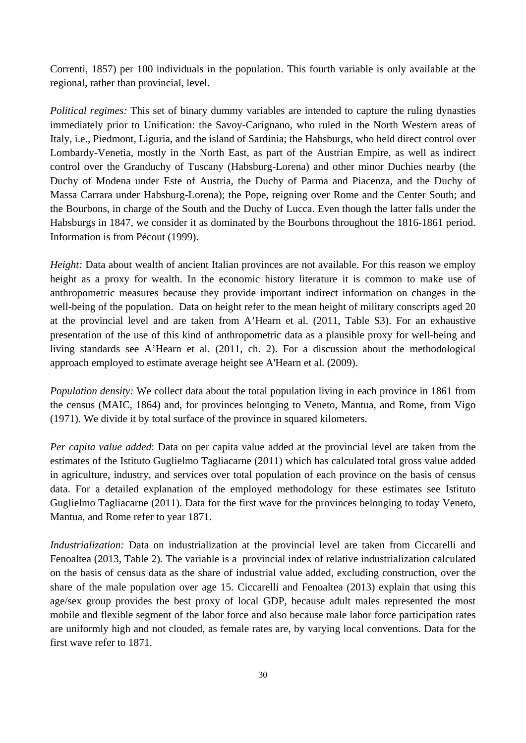Correnti, 1857) per 100 individuals in the population. This fourth variable is only available at the regional, rather than provincial, level.

*Political regimes:* This set of binary dummy variables are intended to capture the ruling dynasties immediately prior to Unification: the Savoy-Carignano, who ruled in the North Western areas of Italy, i.e., Piedmont, Liguria, and the island of Sardinia; the Habsburgs, who held direct control over Lombardy-Venetia, mostly in the North East, as part of the Austrian Empire, as well as indirect control over the Granduchy of Tuscany (Habsburg-Lorena) and other minor Duchies nearby (the Duchy of Modena under Este of Austria, the Duchy of Parma and Piacenza, and the Duchy of Massa Carrara under Habsburg-Lorena); the Pope, reigning over Rome and the Center South; and the Bourbons, in charge of the South and the Duchy of Lucca. Even though the latter falls under the Habsburgs in 1847, we consider it as dominated by the Bourbons throughout the 1816-1861 period. Information is from Pécout (1999).

*Height:* Data about wealth of ancient Italian provinces are not available. For this reason we employ height as a proxy for wealth. In the economic history literature it is common to make use of anthropometric measures because they provide important indirect information on changes in the well-being of the population. Data on height refer to the mean height of military conscripts aged 20 at the provincial level and are taken from A'Hearn et al. (2011, Table S3). For an exhaustive presentation of the use of this kind of anthropometric data as a plausible proxy for well-being and living standards see A'Hearn et al. (2011, ch. 2). For a discussion about the methodological approach employed to estimate average height see A'Hearn et al. (2009).

*Population density:* We collect data about the total population living in each province in 1861 from the census (MAIC, 1864) and, for provinces belonging to Veneto, Mantua, and Rome, from Vigo (1971). We divide it by total surface of the province in squared kilometers.

*Per capita value added*: Data on per capita value added at the provincial level are taken from the estimates of the Istituto Guglielmo Tagliacarne (2011) which has calculated total gross value added in agriculture, industry, and services over total population of each province on the basis of census data. For a detailed explanation of the employed methodology for these estimates see Istituto Guglielmo Tagliacarne (2011). Data for the first wave for the provinces belonging to today Veneto, Mantua, and Rome refer to year 1871.

*Industrialization:* Data on industrialization at the provincial level are taken from Ciccarelli and Fenoaltea (2013, Table 2). The variable is a provincial index of relative industrialization calculated on the basis of census data as the share of industrial value added, excluding construction, over the share of the male population over age 15. Ciccarelli and Fenoaltea (2013) explain that using this age/sex group provides the best proxy of local GDP, because adult males represented the most mobile and flexible segment of the labor force and also because male labor force participation rates are uniformly high and not clouded, as female rates are, by varying local conventions. Data for the first wave refer to 1871.